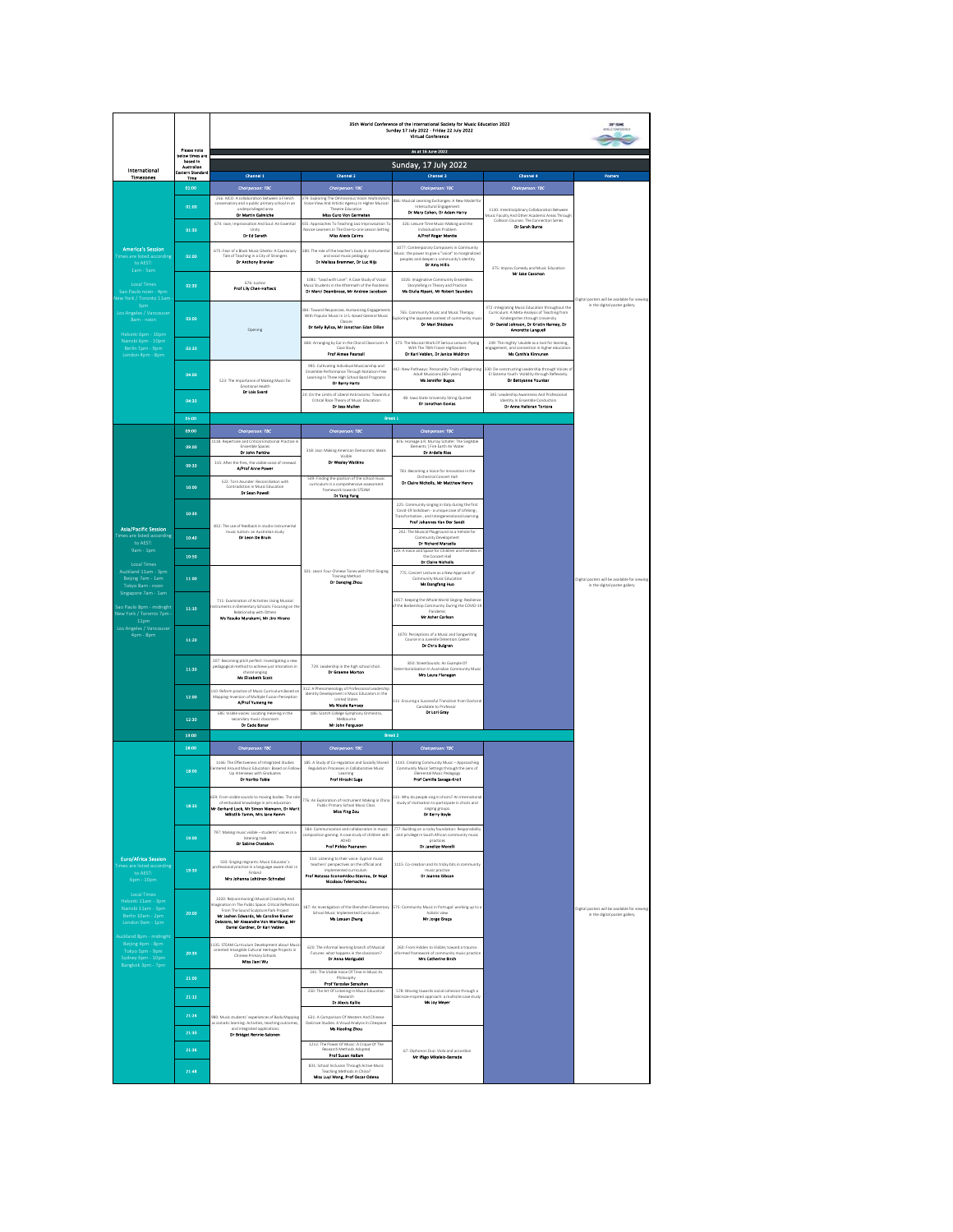|                                                                                                                                                                   | Please note                          | 35th World Conference of the International Society for Music Education 2022<br>Sunday 17 July 2022 - Friday 22 July 2022<br><b>Virtual Conference</b><br>As at 16 June 2022                                                                           |                                                                                                                                                                                         |                                                                                                                                                                                       |                                                                                                                                                                                                            |                                                                                |  |  |
|-------------------------------------------------------------------------------------------------------------------------------------------------------------------|--------------------------------------|-------------------------------------------------------------------------------------------------------------------------------------------------------------------------------------------------------------------------------------------------------|-----------------------------------------------------------------------------------------------------------------------------------------------------------------------------------------|---------------------------------------------------------------------------------------------------------------------------------------------------------------------------------------|------------------------------------------------------------------------------------------------------------------------------------------------------------------------------------------------------------|--------------------------------------------------------------------------------|--|--|
|                                                                                                                                                                   | below times an<br>based in           |                                                                                                                                                                                                                                                       |                                                                                                                                                                                         |                                                                                                                                                                                       |                                                                                                                                                                                                            |                                                                                |  |  |
| International<br>Timezones                                                                                                                                        | Australian<br>Eastern Stands<br>Time | Channel 1                                                                                                                                                                                                                                             | Channel 2                                                                                                                                                                               | Sunday, 17 July 2022<br>Channel 3                                                                                                                                                     | Chennel 4                                                                                                                                                                                                  | <b>Posters</b>                                                                 |  |  |
|                                                                                                                                                                   | 01:00                                | <b>Chairperson: TBC</b>                                                                                                                                                                                                                               | Chairperson: TBC                                                                                                                                                                        | <b>Chairperson: TBC</b>                                                                                                                                                               | Chairperson: TBC                                                                                                                                                                                           |                                                                                |  |  |
|                                                                                                                                                                   | 01:00                                | 256: AICO: A collaboration between a French<br>conservatory and a public primary school in an<br>ndernrivilee<br>Dr Martin Galmiche                                                                                                                   | 379: Exploring The Omnivorous Voice: Multistylis<br>Voice View And Artistic Agency In Higher Musical<br>Theoder Education<br>Miss Guro Von Germeten                                     | 886: Musical Learning Exchanges: A New Model for<br>Intercultural Engagem<br>Dr Mary Cohen, Dr Adam Harry                                                                             | 1130: Interdisciplinary Collaboration Between<br>Music Faculty And Other Academic Areas Through                                                                                                            |                                                                                |  |  |
|                                                                                                                                                                   | 01:30                                | 674: race, Improvisation And Soul: An Essential<br>Linity<br>Dr Ed Sereth                                                                                                                                                                             | 435: Approaches To Teaching Jazz Improvisation To<br>Novice Learners In The One-to-one Lesson Setting<br>Miss Alexis Calms                                                              | 326: Leisure-Time Music-Making and the<br>Individualism Probler<br><b>A/Prof Roger Mantie</b>                                                                                         | Collision Courses: The Connection Series<br>Dr Sarah Burns                                                                                                                                                 |                                                                                |  |  |
| <b>America's Session</b><br>re listed accordin<br>to AFST-                                                                                                        | 02:00                                | 675: Fear of a Black Music Ghetto: A Cautionary<br>Tale of Teaching in a City of Strangers<br>Dr Anthony Branker                                                                                                                                      | 580: The role of the teacher's body in instrumental<br>and vocal music pedagogy<br>Or Mellssa Bremmer, Dr Luc Nijs                                                                      | 1077: Contemporary Composers in Community<br>Music: the power to give a "voice" to marginalized<br>peoples and deepen a community's identity<br>Dr Amy Hillis                         | 375: Improv Comedy and Music Education                                                                                                                                                                     |                                                                                |  |  |
| 1am - 5am<br>Local Times<br>Sao Paulo noon - 4pm<br>lew York / Toronto 11am                                                                                       | 02:30                                | 676: Justice<br>Prof Lily Chen-Hafteck                                                                                                                                                                                                                | 1081: "Lead with Love": A Case Study of Vocal<br>Music Students in the Aftermath of the Pandemis<br>Dr Marci Deambrose, Mr Andrew Jacobson                                              | 1026: Imaginative Community Ensembles:<br>Storytelling in Theory and Practice<br>Ms Glulia Ripani, Mr Robert Saunders                                                                 | Mr Jobs Cassman                                                                                                                                                                                            | Digital posters will be available for viewing                                  |  |  |
| 3pm<br>Los Angeles / Vancouver<br>8am - noon<br>Helsinki 6pm - 10pm                                                                                               | 03:00                                | Opening                                                                                                                                                                                                                                               | .<br>84: Toward Responsive, Humanizing Engagement<br>With Popular Music In U.S.-based General Music<br>Classes<br>Dr Kelly Bylica, Mr Jonathan Edan Dillon                              | 765: Community Music and Music Therapy:<br>xploring the Japanese contest of community musi<br>Dr Meri Shiobara                                                                        | 372: Integrating Music Education throughout the<br>Curriculum: A Meta-Analysis of Teaching from<br>Kindergarten through University<br>Dr Daniel Johnson, Dr Kristin Harney, Dr<br><b>Amorette Languell</b> | in the digital poster gallery                                                  |  |  |
| Nairobi 6pm - 10pm<br>Berlin Spm - 9pm<br>London 4pm - 8pm                                                                                                        | 03:30                                |                                                                                                                                                                                                                                                       | 684: Arranging by Ear in the Choral Classroom: A<br>Case Study<br><b>Prof Almee Pearsell</b>                                                                                            | 373: The Musical Work Of Serious Leisure: Piping<br>With The 78th Fraser Highlanders<br>Dr Karl Vehlen, Dr Janice Waldron                                                             | 249: The mighty 'ukulele as a tool for learning,<br>Ingagement, and connection in higher education<br>Ms Omthia Kinnunga                                                                                   |                                                                                |  |  |
|                                                                                                                                                                   | 04:00                                | 523: The Importance of Making Music for<br>Emotional Health                                                                                                                                                                                           | 995: Cultivating Individual Musicianship and<br>Ensemble Performance Through Notation-Free<br>Learning In Three High School Band Programs<br>Or Berry Hertz                             | 42: New Pathways: Personality Traits of Beginning<br>Adult Musicians (60+ years)<br>Ms Jennifer Bugos                                                                                 | 330: De-constructing Leadership through Voices of<br>El Sistema Youth: Visibility through Reflexivity.<br><b>Dr Bettysnne Younker</b>                                                                      |                                                                                |  |  |
|                                                                                                                                                                   | 04:30                                | Dr Lois Syard                                                                                                                                                                                                                                         | 24: On the Limits of Liberal Antiracisms: Towards<br>Critical Race Theory of Music Education<br>Dr Jess Mullen                                                                          | 48: Iowa State University String Quintet<br>Dr Jonathan Govias                                                                                                                        | 345: Leadership Awareness And Professional<br>Identity In Facemble Conductors<br>Dr Anne Halloran Tortora                                                                                                  |                                                                                |  |  |
|                                                                                                                                                                   | 05:00                                |                                                                                                                                                                                                                                                       | Break 1                                                                                                                                                                                 |                                                                                                                                                                                       |                                                                                                                                                                                                            |                                                                                |  |  |
|                                                                                                                                                                   | 09:00                                | Chairperson: TBC<br>1118: Repertoire and Critical Emotional Practice in                                                                                                                                                                               | Chairperson: TBC                                                                                                                                                                        | Chairperson: TBC<br>876: Homage à R. Murray Schafer: The SingAble                                                                                                                     |                                                                                                                                                                                                            |                                                                                |  |  |
|                                                                                                                                                                   | 09:00<br>09:30                       | Ensemble Spaces<br><b>Dr John Perides</b><br>315: After the fires, the visible voice of renewal<br><b>A/Prof Anne Power</b>                                                                                                                           | 318: Jazz: Making American Democratic Ideals<br>Visible<br>Dr Wesley Watkins                                                                                                            | Flements   Fire Farth Air Water<br>Dr Ardelle Ries<br>781: Becoming a Voice for Innovation in the                                                                                     |                                                                                                                                                                                                            |                                                                                |  |  |
|                                                                                                                                                                   | 10:00                                | 522: Torn Asunder: Reconciliation with<br><b>Contradiction in Music Education</b>                                                                                                                                                                     | 549: Finding the position of the school musi<br>curriculum in a comprehensive assessment<br>framework towards STEAM<br><b>Dr Yang Yong</b>                                              | Orchestral Concert Hall<br>Dr Claire Nicholls, Mr Matthew Henry                                                                                                                       |                                                                                                                                                                                                            |                                                                                |  |  |
| <b>Asia/Pacific Session</b><br>Times are listed according<br>to AFST-<br>9am - 1pm<br>Local Times<br>Auckland 11am - 3pm<br>Beijing 7am - 1am<br>Tokyo 8am - noon | 10:30                                | 832: The use of feedback in studio instrumental                                                                                                                                                                                                       |                                                                                                                                                                                         | 225: Community singing in Italy during the first<br>Covid-19 lockdown - a unique case of Lifelong-<br>Transformative-, and Intergenerational Learning.<br>Prof Johannes Van Der Sandt |                                                                                                                                                                                                            |                                                                                |  |  |
|                                                                                                                                                                   | 10:40                                | music tuition- an Australian study<br>Dr Leon De Bruin                                                                                                                                                                                                |                                                                                                                                                                                         | 242: The Musical Playground as a Vehicle for<br>Community Development<br>Dr Richard Marsella                                                                                          |                                                                                                                                                                                                            |                                                                                |  |  |
|                                                                                                                                                                   | 10:50                                |                                                                                                                                                                                                                                                       |                                                                                                                                                                                         | 129: A Voice and Space for Children and Families in<br>the Concert Hall                                                                                                               |                                                                                                                                                                                                            |                                                                                |  |  |
|                                                                                                                                                                   | 11:00                                |                                                                                                                                                                                                                                                       | 501: Learn Four Chinese Tones with Pitch Singing<br><b>Training Method</b><br><b>Dr Danging Zhou</b>                                                                                    | Dr Claire Nicholis<br>775: Concert Lecture as a New Approach of<br>mmunity Music Education<br><b>Ms Dongfang Huo</b>                                                                  |                                                                                                                                                                                                            | Digital posters will be available for viewing<br>in the digital poster gallery |  |  |
| Singapore 7am - 1am<br>Sao Paulo 8pm - midnight<br>New York / Toronto 7pm<br>11pm                                                                                 | 11:10                                | 711: Examination of Activities Using Musical<br>struments in Elementary Schools: Focusing on the<br>Relationship with Others<br>Ms Yasuko Murakami, Mr Jiro Hirano                                                                                    |                                                                                                                                                                                         | 1057: Keeping the Whole World Singing: Resilienc<br>of the Barbershop Community During the COVID-19<br>Mr Asher Carlson                                                               |                                                                                                                                                                                                            |                                                                                |  |  |
| Los Angeles / Vancouver<br>4pm - 8pm                                                                                                                              | 11:20                                |                                                                                                                                                                                                                                                       |                                                                                                                                                                                         | 1070: Perceptions of a Music and Songwriting<br>Course in a Juvenile Detention Center<br>Dr Chris Bulgren                                                                             |                                                                                                                                                                                                            |                                                                                |  |  |
|                                                                                                                                                                   | 11:30                                | 207: Becoming pitch perfect: Investigating a new<br>pedagogical method to achieve just intonation in<br>choral sing<br><b>Ms Elizabeth Scott</b>                                                                                                      | 729: Leadership in the high school choir.<br>Dr Greeme Morton                                                                                                                           | 850: StreetSounds: An Example Of<br>Deterritorialization In Australian Community Music<br>Mrs Laura Flanagan                                                                          |                                                                                                                                                                                                            |                                                                                |  |  |
|                                                                                                                                                                   | 12:00                                | 110: Reform practice of Music Curriculum Based or<br>Mapping-Inversion of Multiple Fusion Perception<br>A/Prof Yumang He                                                                                                                              | 312: A Phenomenology of Professional Leadership<br>Identity Development in Music Educators in the<br><b>Heited States</b><br>Ms Nicole Ramsey                                           | 311: Ensuring a Successful Transition from Doctoral<br>Candidate to Professor<br>Dr Lori Gray                                                                                         |                                                                                                                                                                                                            |                                                                                |  |  |
|                                                                                                                                                                   | 12:30                                | 585: Visible voices: Locating meaning in the<br>secondary music classroom<br>Dr Cade Bonar                                                                                                                                                            | 186: Scotch College Symphony Orchestra,<br>Melbourne<br>Mr John Ferguson                                                                                                                |                                                                                                                                                                                       |                                                                                                                                                                                                            |                                                                                |  |  |
|                                                                                                                                                                   | 13:00                                |                                                                                                                                                                                                                                                       | Break 2                                                                                                                                                                                 |                                                                                                                                                                                       |                                                                                                                                                                                                            |                                                                                |  |  |
|                                                                                                                                                                   | 18:00                                | <b>Chairperson: TBC</b>                                                                                                                                                                                                                               | <b>Chairperson: TBC</b>                                                                                                                                                                 | <b>Chairperson: TBC</b>                                                                                                                                                               |                                                                                                                                                                                                            |                                                                                |  |  |
|                                                                                                                                                                   | 18:00                                | 1146: The Effectiveness of Integrated Studies<br>Intered Around Music Education: Based on Follo<br>Up Interviews with Graduates<br>Dr Nortko Tokie                                                                                                    | 185: A Study of Co-regulation and Socially Shared<br>Regulation Processes in Collaborative Music<br>Learning<br><b>Prof Hiroshi Suga</b>                                                | 1143: Creating Community Music - Approaching<br>Community Music Settings through the Lens of<br>Elemental Music Pedagogy<br><b>Prof Camille Serage-Kroll</b>                          |                                                                                                                                                                                                            |                                                                                |  |  |
|                                                                                                                                                                   | 18:30                                | 559: From visible sounds to moving bodies. The role<br>of embodied knowledge in arts education<br>rd Lock, Mr Simon Hiemann, Dr Marti<br>Mölstlik-Tamm, Mrs Jane Remm                                                                                 | 776: An Exploration of Instrument Making in China 211: Why do people sing in choirs? An internation<br>Public Primary School Music Cla-<br>Miss Ying Zou                                | study of motivation to participate in choirs and<br>Dr Karry Boyle                                                                                                                    |                                                                                                                                                                                                            |                                                                                |  |  |
|                                                                                                                                                                   | 19:00                                | 797: Making music visible - students' voices in a<br>tening task<br><b>Dr Sabine Chatelain</b>                                                                                                                                                        | 584: Communication and collaboration in music<br>sition gaming: A case study of children with<br>ADHD<br><b>Prof Pickleo Pagnaneos</b>                                                  | 777: Building on a rocky foundation: Responsibility<br>ind privilege in South African com<br>practices<br>Dr Janeilte Morelli                                                         |                                                                                                                                                                                                            |                                                                                |  |  |
| <b>Euro/Africa Session</b><br>Times are listed according<br>to AEST:<br>6pm - 10pm                                                                                | 19:30                                | 503: Singing migrants: Music Educator's<br>professional practice in a language aware choir in<br><b>Mrs Johanna Lehtinen-Schnahel</b>                                                                                                                 | 514: Listening to their voice: Cypriot music<br>teachers' perspectives on the official and<br>implemented curriculum<br>Prof Natassa Economidou-Stavrou, Dr Nopl<br>Nicolagu Telemachou | 1115: Co-creation and its tricky hits in community<br>music practice<br>Dr Joanne Gibson                                                                                              |                                                                                                                                                                                                            |                                                                                |  |  |
| <b>Local Times</b><br>Helsinki 11am - 3pm<br>Nairobi 11am - 3pm<br>Berlin 10am - 2pm<br>London 9am - 1pm<br>Auckland 8pm - midnight                               | 20:00                                | 1020: Re(commoning) Musical Creativity And<br>agination in The Public Space: Critical Reflection<br>ound Sculpture Park Project<br>Mr Jashen Edwards, Ms Caroline Blumer<br>Delazaro, Mr Alexandre Von Wartburg, Mr<br>Daniel Gardner, Dr Karl Veblen | 187: An Investigation of the Shenzhen Elementary<br>School Music Implemented Curriculum<br>Ms Lexuan Zhang                                                                              | 575: Community Music in Portugal: working up to a<br>holistic view<br>Mr Jorge Grace                                                                                                  |                                                                                                                                                                                                            | Digital posters will be available for viewin<br>in the digital poster gallery  |  |  |
| Beijing 4pm - 8pm<br>Tokyo Spm - 9pm<br>Sydney 6pm - 10pm<br>Bangkok 3pm - 7pm                                                                                    | 20:30                                | 135: STEAM Curriculum Development about Musi<br>oriented Intangible Cultural Heritage Projects in<br>Chinese Primary Schools<br>Miss Jiani Wu                                                                                                         | 620: The informal learning branch of Musical<br>Futures: what happens in the classroom?<br>Dr Anne Meriguddi                                                                            | 260: From Hidden to Visible: toward a trau<br>nformed framework of community music practice<br>Mrs Catherine Birch                                                                    |                                                                                                                                                                                                            |                                                                                |  |  |
|                                                                                                                                                                   | 21:00                                |                                                                                                                                                                                                                                                       | 241: The Visible Voice Of Time In Music As<br>Philosophy<br>Prof Yaroslav Senyshyn<br>250: The Art Of Listening In Music Education                                                      | 578: Moving towards social cohesion through a                                                                                                                                         |                                                                                                                                                                                                            |                                                                                |  |  |
|                                                                                                                                                                   | 21:12                                |                                                                                                                                                                                                                                                       | Dr Alesia Kalifo                                                                                                                                                                        | .<br>Dalcroze-inspired approach: a multisite case study<br><b>Me for Morrie</b>                                                                                                       |                                                                                                                                                                                                            |                                                                                |  |  |
|                                                                                                                                                                   | 21:24<br>21:30                       | 980: Music students' experiences of Body Mapping<br>as somatic learning: Activities, teaching outcomes,<br>and integrated applications                                                                                                                | 631: A Comparison Of Western And Chinese<br>Dalcroze Studies: A Visual Analysis In Citespace<br>Ms Xicoling Zhou                                                                        |                                                                                                                                                                                       |                                                                                                                                                                                                            |                                                                                |  |  |
|                                                                                                                                                                   |                                      | Dr Bridget Rennie-Selonen                                                                                                                                                                                                                             | 1212: The Power Of Music: A Crique Of The<br>Research Methods Adopted                                                                                                                   |                                                                                                                                                                                       |                                                                                                                                                                                                            |                                                                                |  |  |
|                                                                                                                                                                   | 21:36<br>21:43                       |                                                                                                                                                                                                                                                       | Prof Susan Hallam<br>831: School Inclusion Through Active Music<br>Teaching Methods In China?                                                                                           | 67: Diphonon Duo: Viola and accordion<br>Mr Ifilgo Mikeletz-Berrade                                                                                                                   |                                                                                                                                                                                                            |                                                                                |  |  |
|                                                                                                                                                                   |                                      |                                                                                                                                                                                                                                                       | Miss Luvi Wang, Prof Oscar Odena                                                                                                                                                        |                                                                                                                                                                                       |                                                                                                                                                                                                            |                                                                                |  |  |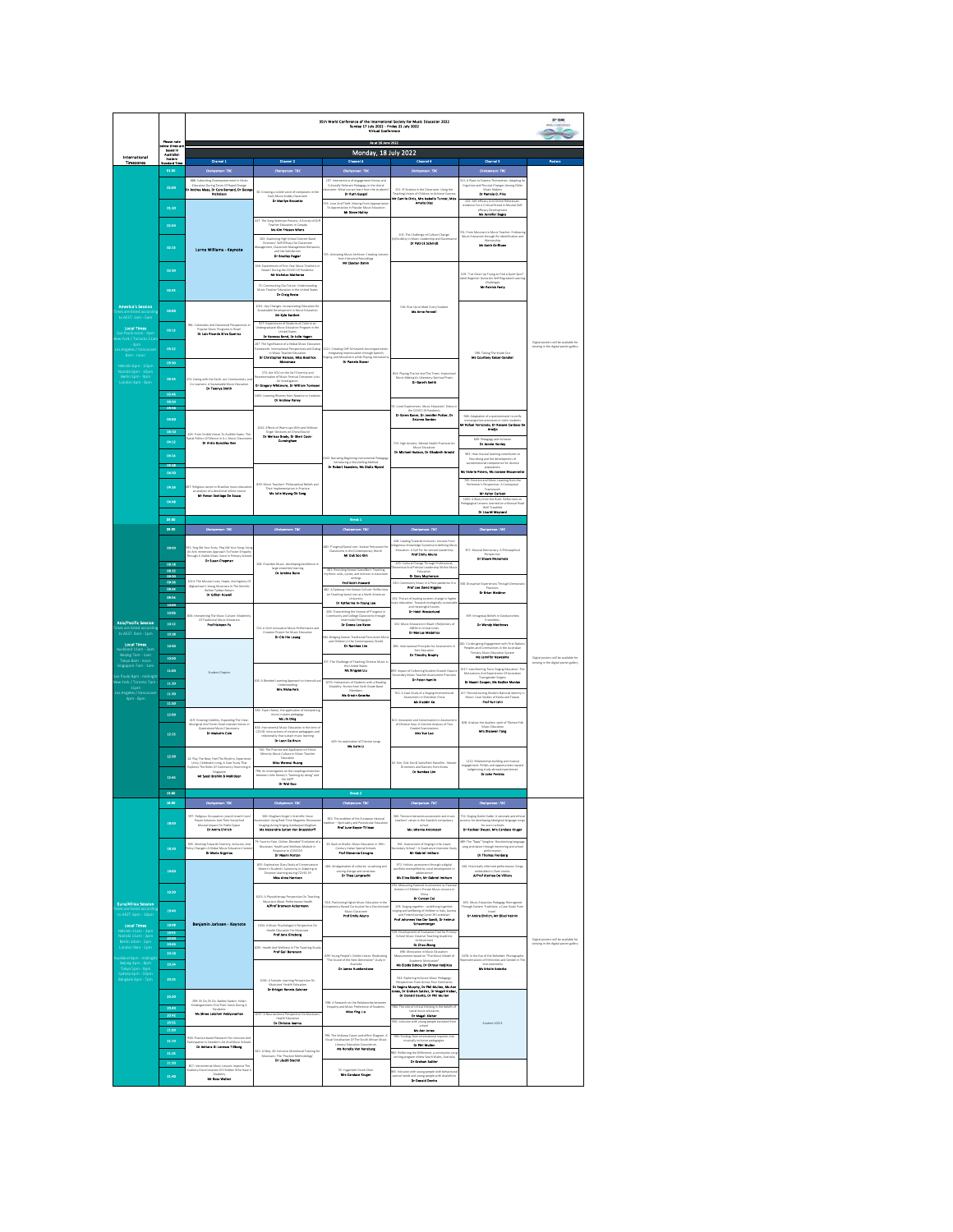|                                                                                                                                                                                                      |                                                        | erence of the International Society for Music Education 2022<br>Sunday 17 July 2022 - Friday 22 July 2022<br>Virtual Conference<br>35th World Confer<br>As at 18 June 2022                                                                                       |                                                                                                                                                                                                                                                                                                                                                                                                                                                                                        |                                                                                                                                                                                                                                                                                                                                                                                                                                                                    |                                                                                                                                                                                                                                                                                                                                                                                  |                                                                                                                                                                                                                                                                                                            |                                                                                |  |
|------------------------------------------------------------------------------------------------------------------------------------------------------------------------------------------------------|--------------------------------------------------------|------------------------------------------------------------------------------------------------------------------------------------------------------------------------------------------------------------------------------------------------------------------|----------------------------------------------------------------------------------------------------------------------------------------------------------------------------------------------------------------------------------------------------------------------------------------------------------------------------------------------------------------------------------------------------------------------------------------------------------------------------------------|--------------------------------------------------------------------------------------------------------------------------------------------------------------------------------------------------------------------------------------------------------------------------------------------------------------------------------------------------------------------------------------------------------------------------------------------------------------------|----------------------------------------------------------------------------------------------------------------------------------------------------------------------------------------------------------------------------------------------------------------------------------------------------------------------------------------------------------------------------------|------------------------------------------------------------------------------------------------------------------------------------------------------------------------------------------------------------------------------------------------------------------------------------------------------------|--------------------------------------------------------------------------------|--|
| International                                                                                                                                                                                        | Piesse note<br>alour times un<br>hesteriten<br>fastern |                                                                                                                                                                                                                                                                  |                                                                                                                                                                                                                                                                                                                                                                                                                                                                                        | Monday, 18 July 2022                                                                                                                                                                                                                                                                                                                                                                                                                                               |                                                                                                                                                                                                                                                                                                                                                                                  |                                                                                                                                                                                                                                                                                                            |                                                                                |  |
| Timezones                                                                                                                                                                                            | dard Tim<br>01:00                                      | Channel 1<br>Chaliperson: TBC                                                                                                                                                                                                                                    | Chesnal 2<br>Chaliperson: TDC                                                                                                                                                                                                                                                                                                                                                                                                                                                          | Channel S<br>Chelspenson: TBC                                                                                                                                                                                                                                                                                                                                                                                                                                      | Chenet 4<br>Chelsperson: TBC                                                                                                                                                                                                                                                                                                                                                     | Channel 5<br><b>Chaliperson: TBC</b>                                                                                                                                                                                                                                                                       | <b>Posters</b>                                                                 |  |
| <b>America's Session</b><br>-<br>DAEST: 1am - 5a<br><b>Local Times</b><br>York / Toronto 11a<br>des / Vanc<br>lelsiriki 6pm - 10pm<br>Iairobi 6pm - 10pm<br>.<br>Berlin Spm - 9pm<br>ondon 4pm - 8pm | 01:00<br>01:50                                         | Sith: Subverting Disempowerment in Music<br>  Education During Times Of Rapid Change<br>  Andros Moss, Dr Cara Bernard, Dr George<br>  Micholson                                                                                                                 | 30: Creating a visible valce of comp<br>Early Music Kodily Classroo<br><b>Dr Musikya Browstia</b>                                                                                                                                                                                                                                                                                                                                                                                      | 297: Inte<br>297: Intersections of engagement theory and<br>Culturally Relevant Pedagogy in the choral<br>surcom: What can we learn from the students<br><b>The Bank George</b><br>.<br>Sää: Love And Theft: Moving From Appropriation<br>To Appreciation in Popular Music Education<br>Mr Steve Holler                                                                                                                                                            | $251: 61$ Sutema in the Classroom: Using the Teaching Voices of Children to Achieve Success<br><b>Mr Comile Ortiz, Mrs Isabelle Teacor, Miss<br/>Analis Dist</b>                                                                                                                                                                                                                 | <b>312:</b> A Place to Express Thermelves: Adapting for<br>Cognitive and Physical Changes Among Older<br>Makes: <b>Dr Pamola D. Plka</b><br>i: Self-efficacy And Online Rehe<br>rece For A Critical Period in Mus<br><b>Mr. Joseffer Buges</b>                                                             |                                                                                |  |
|                                                                                                                                                                                                      | 02:00<br>00135                                         | Lorna Williams - Keynote                                                                                                                                                                                                                                         | 447: The Song Selection Process: A Survey of Orf<br>Feacher Educators in Canad<br><b>Ma Kim Priesen Wiens</b><br>$\label{eq:1} \begin{array}{ll} \text{262: Learning High School Constant Band}\\ \text{Direct set's 56* Energy for Causrom} \end{array}$<br>and Job Satisfaction<br>Or Brodley Region                                                                                                                                                                                 | 725: Activatine Music Archives: Creatine Le<br>$\mathbf{b}$<br>in Historical Records<br><b>Mr Clayton Dahm</b>                                                                                                                                                                                                                                                                                                                                                     | 101: The Challenge of Culture Change:<br>ility in Music Leadership and Gr<br><b>Dr Potrick Schauldt</b>                                                                                                                                                                                                                                                                          | 701: From Musician to Music Teacher: Embracin<br>Music Education through Re-identification and<br><b>No Sele Grifford</b>                                                                                                                                                                                  |                                                                                |  |
|                                                                                                                                                                                                      | 02:50<br>03:45                                         |                                                                                                                                                                                                                                                                  | 166: Experiences of First-Year Music Teachers in<br>C During the COVID-19 Pan<br>Net Micheles Metherne<br>72: Constructing Our Future: Understanding<br>Music Teacher Education in the United States<br><b>Dr Croly Rests</b>                                                                                                                                                                                                                                                          |                                                                                                                                                                                                                                                                                                                                                                                                                                                                    |                                                                                                                                                                                                                                                                                                                                                                                  | 529: "I've Given Up Trying to Find a Quiet Spot"<br>Adult Beginner Guitarists Self-Regulated Learnin<br><b>Mr Potrick Feels</b>                                                                                                                                                                            |                                                                                |  |
|                                                                                                                                                                                                      | 05:00<br>03:12<br>08:22                                | 981: Coloniality And Decolonial Per<br>Popular Music Programs in Brazil<br>Dr Luis Ricerdo Silve Queiros                                                                                                                                                         | 3331: Key Changes: Incorporating Education for<br>Sustainable Development in Music Education<br><b>For Eye Burtlett</b><br>927: Experiences of Students of Color in an<br>Indergraduate Music Education Program in t<br>Dr Venesse Bond, Dr Jelle Hages<br>.<br>287: The Significance of a Global Music Education<br>Framework: International Perspectives and Dialog<br>In Music Teacher Education<br>in Music Teacher Education<br>Dr Christopher Henson, Miles Beatrice<br>Monomera | 1121: Creating Off-Schulaverk Accompanimen<br>Integrating Improvisation through Speech,<br>Singing, and Movement while Playing Instrume<br><b>Dr Passels Stover</b>                                                                                                                                                                                                                                                                                                | 536: Rise Up to Meet Every Student                                                                                                                                                                                                                                                                                                                                               | 200: Taking The Inside Out<br>Ma Courtney Kelser-Sandler                                                                                                                                                                                                                                                   | Digital posters will be available for<br>viewing in the digital poster gallery |  |
|                                                                                                                                                                                                      | 08:30<br>05:54<br>05:46<br>03:50                       | (74: Caring with the Earth, our Communities, and<br>Co-Learners: A Sustainable Music Education<br><b>Dr Terroys State</b>                                                                                                                                        | 274: Are YOU on the list? Diversity and<br>presentation of Masic Festival Composer L<br>Dr Gregory Whitmore, Dr William Tool<br><b>OGE</b> Learning Rhymes from Notation in is                                                                                                                                                                                                                                                                                                         |                                                                                                                                                                                                                                                                                                                                                                                                                                                                    | <b>SSA: Playing The ice And The Trees: in</b><br>Music Making As Liberatory Spiritus<br>Or Garoth Senton                                                                                                                                                                                                                                                                         |                                                                                                                                                                                                                                                                                                            |                                                                                |  |
|                                                                                                                                                                                                      | <b>OHN</b><br>04:00<br>04:10<br>04:13                  | 436: From Visible Voices To Audible Gazes: The<br>Racial Politics Of Slience in U.s. Music Classroom<br><b>By Artis Gorgalisz Don</b>                                                                                                                            | 1042: Effects of Warm-ups With and With<br>Singer Gestures on Choral Sound<br>Dr Melisse Grody, Dr Sheri Cook-<br>Cunningham                                                                                                                                                                                                                                                                                                                                                           |                                                                                                                                                                                                                                                                                                                                                                                                                                                                    | 10: Lived Experiences: Music Educators' Stress<br>the COVID-19 Pandemic<br>Dr Karea Koner, Dr Jennifer Potter, Dr<br>Rigano Borden<br>772: Mah Anylahr: Mantal Mashh Brazilina for<br>ic Ed                                                                                                                                                                                      | 948: Adaptation of a questionnaire to wrify<br>metacogràbie processes in violin students<br>Mr Rafbel Ferresette, Dr Roserve Cardioso De<br>Aradjo<br>600: Pedagogy and Inclus<br><b>By Josefe Hender</b>                                                                                                  |                                                                                |  |
|                                                                                                                                                                                                      | 06/26<br>66.19<br>04:50<br>04:36                       | 27: Religious racium in Brazilian music education<br>analysis of a decolonial online course<br><b>Mr Ronan Saetiago Da Sousa</b>                                                                                                                                 | 859: Music Teachers' Philosophical Beliefs and<br>his Julie Myseg Ok Song                                                                                                                                                                                                                                                                                                                                                                                                              | D43: N<br>42: Narrating Reginning Instrumental Pe<br>Introducing a Storytelling Method<br><b>Dr Robert Sounders, Ms Gluita Rip</b>                                                                                                                                                                                                                                                                                                                                 | Dr Michael Hudson, Dr Eltrabeth Arnold                                                                                                                                                                                                                                                                                                                                           | $\begin{array}{c} 962: \text{How musical learning contributions to} \\ \text{fourizing and the development of} \end{array}$<br>petence for divers<br>lds Valerie Peters, lds Josiane Bisson<br>VIS: Emotion and Music Learning from th<br>Performer's Perspective: A Conceptual<br><b>No Asher Carlson</b> |                                                                                |  |
|                                                                                                                                                                                                      | 06:48<br>05:00                                         |                                                                                                                                                                                                                                                                  |                                                                                                                                                                                                                                                                                                                                                                                                                                                                                        | <b>Break 1</b>                                                                                                                                                                                                                                                                                                                                                                                                                                                     |                                                                                                                                                                                                                                                                                                                                                                                  | 1005: A Bluey from the Bush: Reflections on<br>Pedagogical Lessons Learned on a Musical Roa<br>Dr Lisa M Maynard                                                                                                                                                                                           |                                                                                |  |
|                                                                                                                                                                                                      | 09:00                                                  | Cloigence: TBC                                                                                                                                                                                                                                                   | Chaliperson: TBC                                                                                                                                                                                                                                                                                                                                                                                                                                                                       | Chairparson: TBC                                                                                                                                                                                                                                                                                                                                                                                                                                                   | Chairperson: 78C<br>42R Leading Towards Inclusion: Lessons From                                                                                                                                                                                                                                                                                                                  | Chalyparace: TBC                                                                                                                                                                                                                                                                                           |                                                                                |  |
|                                                                                                                                                                                                      | 09:00<br>09:18<br>09:32<br>09:30                       | 191: Sing Me Your Story, Play Me Your Song: Usi<br>An Arts Immersion Approach To Foster Empath<br>hrough A Visible Music Voice in Primary Sch<br><b>Dr Seous Chapmen</b>                                                                                         | 206: Chamber Music: devel<br>large ensemble learni                                                                                                                                                                                                                                                                                                                                                                                                                                     | m in the Contemporary World<br><b>Mr Duk Sco IOm</b><br>481: Revisiting Karean Sa<br>ythmic units, cycles, and r                                                                                                                                                                                                                                                                                                                                                   | <i>temu/re-defining Mu</i><br>n-sensed Leadership<br>429: Cultural Change Through Professional,<br>scoretical And Political Leadership Within Mus<br><b>In day Methema</b>                                                                                                                                                                                                       | 257: Musical Democracy: A Philosophical<br>Perspective<br>Dr Sheem Mcnamers                                                                                                                                                                                                                                |                                                                                |  |
|                                                                                                                                                                                                      | 03:38<br>09:44<br>03:54<br>10:00                       | 1034: The Musical Lives, Hopes, And Agency Of Alghanistan's Young Musicians in The Months<br>Referentiallian Return <b>Dr Gillian House</b> II                                                                                                                   |                                                                                                                                                                                                                                                                                                                                                                                                                                                                                        | <b>Prof Kalth Howard</b><br>482: A Gateway into Korean Culture: Reflection<br>on Teaching Samul nori at a North American<br>Or Katherine In-Young Lee                                                                                                                                                                                                                                                                                                              | 430: Community Music in A Post-pandemic Era<br>421: The art of leading systems change in high                                                                                                                                                                                                                                                                                    | <b>ISE: Disruptive Experiences Through De</b><br>-<br>Dr Srien Weldner                                                                                                                                                                                                                                     |                                                                                |  |
| <b>Asia/Pacific Session</b><br>to AEST: 9am - 1pm                                                                                                                                                    | 10:05<br>10:13<br>10:20                                | ting The Music Culture: Mo<br>\$36 Inte<br>Of Traditional Music Education                                                                                                                                                                                        | 724: a-Orch Innovative Music Perform<br>Dr Chi Hin Loung<br>106: A Blended Learning Approach to Intercultur<br>Mes Historike                                                                                                                                                                                                                                                                                                                                                           | 482: Transmitting the Groove of Pungmul in<br>Community and College Classrooms through<br>Dr Denne Lee Earon<br><b>Ell</b> Bridging Korean Traditional Percussion Mu                                                                                                                                                                                                                                                                                               | ation: Towards ecologically<br>and meaningful futures<br><b>Dr Holdi Westerhand</b><br>432: Music Education in Brazil: (Re)Actions of<br>$ABEM$ in critical times<br><b>By Marcus Modelros</b>                                                                                                                                                                                   | 259: Intragroup Beliefs In Conductoriess<br><b>Ensembles</b><br>Dr Wondy Motthews                                                                                                                                                                                                                          |                                                                                |  |
| Local Times<br>Beijing 7am - 1am<br>Tokyo Bam - noon<br>ngapore 7am - 1am                                                                                                                            | 39:50<br>10:50<br>11:00                                |                                                                                                                                                                                                                                                                  |                                                                                                                                                                                                                                                                                                                                                                                                                                                                                        | en in the Contempor<br><b>Or Nambes Lim</b><br>rary World<br>707: The Challenge of Teaching Chinese Music<br>the United States<br><b>Ma Ninggan Liu</b>                                                                                                                                                                                                                                                                                                            | BSI: International Principles for Assessment in<br>Arts Education<br>Dr Theody Brooky                                                                                                                                                                                                                                                                                            | 282: Co-designing Engagement with First Natio<br>Peoples and Communities in the Australian<br>Tertiary Music Education System<br><b>No Joseffer Novroces</b>                                                                                                                                               | ight posters will be available for<br>ewing in the digital poster gallery      |  |
| ao Paulo 8pm - midnigl<br>Iew York / Toronto 7pm<br>11pm                                                                                                                                             | 11:30<br>11:50<br>11:50                                | <b>Student Chapte</b>                                                                                                                                                                                                                                            |                                                                                                                                                                                                                                                                                                                                                                                                                                                                                        | 1076: Interactions of Students with a Reading<br>Disability: Stories from Sixth Grade Band<br>Memoria                                                                                                                                                                                                                                                                                                                                                              | 892: Impact of Collecting Student Growth Data o<br>fory Music Teacher Assessed<br>Ar Poter Houtin<br>nent Practice<br>762: A Case Study of a Singing Interventional<br>Ms Xiachin Ke                                                                                                                                                                                             | 1017: transforming Trans Singing Education: The Motivations And Experiences Of Australian<br>Or Noomi Cooper, Ma Nadine Manion<br>147: Reconstructing Modern National Identity in<br>Music: Case Studies of Korea and Taiwan<br>Prest West Index                                                           |                                                                                |  |
|                                                                                                                                                                                                      | 12:00<br>12:15                                         | 410: Growing Visibility, Espanding The View:<br>Aboriginal And Torres Strait Islander Visions in Queensland Music Clauseours.<br>$\begin{array}{ll} \textbf{Dr} \ \textbf{McJen} \ \textbf{Co} \textbf{b} \end{array}$                                           | GEE: Topic theory: the application of interpreting<br>music in plano pedagogy<br><b>MG Jin Ding</b><br>.<br>834: Instrumental Music Education in the time<br>COVID: intra-actions of creative pedagogies an<br>apogies and<br><b>Isaming</b><br>Dr Leon De Bruin                                                                                                                                                                                                                       | 449: An ex<br><b>MARINE</b>                                                                                                                                                                                                                                                                                                                                                                                                                                        | $\begin{array}{ll} \text{612: Information and Generation in American set} \\ \text{of Chinese Key A Cocrete Analysis of TwoGraded Communications} \\ \text{Mer You Leo} \end{array}$                                                                                                                                                                                             | $828: Acaly$ the dualitic spirit of Thetan Folk<br>Music Education<br>$\begin{tabular}{l} {\bf Muzi: Education} \\ {\bf Muzi: Xlaseren True} \end{tabular}$                                                                                                                                                |                                                                                |  |
|                                                                                                                                                                                                      | 12:50<br>12:45                                         | 14: Play The Beat, Feel The Rhythm, Experient<br>Unity, Celebrate Living, A.Case Study That<br>Explores The Roles Of Community Drumming<br><b>Mr Syed Health &amp; Mobidson</b>                                                                                  | 760: The Practice and Application of Ethnic<br>Minority Music Culture in Music Teacher<br>Education<br><b>Miss Women Human</b><br>792: An investigation on the coupling connection<br>between John Dewey's "learning by doing" and<br>the XAPP<br>Or Wat Goo                                                                                                                                                                                                                           |                                                                                                                                                                                                                                                                                                                                                                                                                                                                    | 62: Kim, Duk-Spo & SamulNori Hanullim : Maste<br>ers and Dancers from Korea<br><b>Dr Namber Lim</b>                                                                                                                                                                                                                                                                              | 1112: Relatio<br>elationship-build<br>st: Pitfalls and op<br><i><u><b>Index</b></u></i><br>.<br>ad experien<br>ing study abroad ex<br><b>Dr John Perides</b>                                                                                                                                               |                                                                                |  |
|                                                                                                                                                                                                      | 19:00<br>10.00                                         | Challparent TBC                                                                                                                                                                                                                                                  | Chairpenson: FBC                                                                                                                                                                                                                                                                                                                                                                                                                                                                       | Chairport<br>a: mc                                                                                                                                                                                                                                                                                                                                                                                                                                                 | Chaliperson: TBC                                                                                                                                                                                                                                                                                                                                                                 | Chalvparade: TBC                                                                                                                                                                                                                                                                                           |                                                                                |  |
|                                                                                                                                                                                                      | 18:00                                                  | 597: Religious Occupation: jewish Israeli Covid<br>Prayer Solutions And Their Social And<br>Musical impact On Public Space<br><b>Dr Amire Chrisch</b>                                                                                                            | 560: Mugham Singer's Scientific Voice<br>ument Using Real-Time Magnetic Reso<br>Imaging during Singing Acerbaijani Magham<br>Mis Alexandria Sultan Von Brussiderff                                                                                                                                                                                                                                                                                                                     | 182: The problem of the European cla<br>adition - Spirituality and Postsecular Es<br>radition<br>- Spirituality and Postsecular Education<br><b>Prof June Boyce-Tillown</b>                                                                                                                                                                                                                                                                                        | M2: Tensions between assessment and music<br>teachers' values in the Swedish compulsory<br>state<br>Na Johanna Antonas                                                                                                                                                                                                                                                           | 752: Singing Gubbi Gubbi: A rationale and ethics<br>process for developing Aboriginal language song<br>veloping Abc<br>for use in schools<br>Or Recheel Deryer, Mrs Cendace Kruger                                                                                                                         |                                                                                |  |
|                                                                                                                                                                                                      | 18:50                                                  | 945: Working Towards Diversity, Inclusion, And<br>Policy Changein A Global Music Education Control<br><b>Dr Moria Angelos</b>                                                                                                                                    | 79: Face-to-Face, Online, Blended? Evolution of a<br>Musicians' Health and Wellness Module in<br>Response to COVID19<br><b>Or Means Norsee</b>                                                                                                                                                                                                                                                                                                                                         | 32: Back to Braille: Music Education in 19th-<br>Century Italian Special Schools<br>Prof Glovanne Carugno                                                                                                                                                                                                                                                                                                                                                          | 941: Assessment of Singing in the Lower<br>condary School - A Qualitative Interview Study<br><b>Mr Gobriel Institute</b>                                                                                                                                                                                                                                                         | 89: The "Rapa" Songline: Decolonising languag<br>song and dance through mentoring and school<br>performance.<br>Dr Thomas Flosberg                                                                                                                                                                         |                                                                                |  |
|                                                                                                                                                                                                      | 19:00<br>19:30                                         |                                                                                                                                                                                                                                                                  | E25: Exploratory Diary Study of Conservatoire<br>Master's Students' Autonomy in Adapting to<br>Ciutance Learning during COVID-19<br>Miles Anna Harrison                                                                                                                                                                                                                                                                                                                                | AGC Arealgamation of cultures: visualising and<br>voicing change and sameness<br><b>Dr Theo Langescht</b>                                                                                                                                                                                                                                                                                                                                                          | 972: Holistic assessment through a digital<br>sortfolio exemplified by vocal development is<br>his Elles Bächlin, Mr Gabriel Imthum<br>94: Measuring Parental Involvement as Parenta<br>Actions in Children's Private Music Lessons in                                                                                                                                           | 340: Historically informed performance: Songs<br>A/Prof Alethaa De Villiers                                                                                                                                                                                                                                |                                                                                |  |
| Euro/Africa Session<br>to AEST: 6pm - 10p<br>Local Times                                                                                                                                             | 19:40<br>19:48                                         | Benjamin Jorissen - Keynote                                                                                                                                                                                                                                      | 1032: A Physiotherapy Perspective On Teaching<br>Musicians About Performance Healt<br>1034: A Music Psychologist's Perspective On                                                                                                                                                                                                                                                                                                                                                      | 916: Positioning Higher Music Education in the<br>Competency-Based Curriculum for a Decolonies<br>Prof Emily Alesso                                                                                                                                                                                                                                                                                                                                                | Dr Cancan Cal<br>229: Singing together - redefining together<br>singing and wellbeing of children in Italy, Austria<br>and Finland during Covid-19 Lockdown<br><b>Froil Johannes Van Der Bendi, Dr Helmut</b><br><b>Scheumberger</b>                                                                                                                                             | 655: Music Education Pedagogy Reimagined<br>Through Eastern Traditions: a Case Study From<br>Dr Jesira Ehrlich, Mr Glied Vales                                                                                                                                                                             |                                                                                |  |
| Nairobi 11am - 3pr<br>Berlin 10am - 2pm<br>London 9am - 1pm<br>land 8pm - midnig<br>.<br>Sydney 6pm - 10pm<br>Banekok 3pm - 7pm                                                                      | 19:55<br>Ħ.<br>20:10<br>30:26<br>30:25                 |                                                                                                                                                                                                                                                                  | uith Education For Musicians<br><b>Prof Jane Gleatery</b><br>Health E<br><b>CDC: Health And Wellness in The Teaching Stud</b><br><b>Prof Gall Beresson</b><br>1936: A Somatic Learning Pempective On<br>Musicians' Health Education<br><b>Dr Bridget Rossie-Esionen</b>                                                                                                                                                                                                                | $\begin{array}{ll} 600: \textbf{Y} \text{comp} \textbf{P} \text{caplet} \textbf{Y} \textbf{W} \textbf{lab} \textbf{V} \textbf{block} \textbf{V} \textbf{is} \textbf{cm} \textbf{P} \textbf{opl} \textbf{intip} \\ \textbf{The Sound of the host Generation" study inAutrala \\ \textbf{Dr} \textbf{H} \textbf{m} \textbf{b} \textbf{a} \textbf{m} \textbf{b} \textbf{a} \textbf{m} \textbf{b} \textbf{a} \textbf{m} \textbf{b} \textbf{b} \textbf{m} \textbf{b} \$ | Bit Development of Evaluation Tool for Primary<br>School Music Creative Teaching Academic<br>Dr Cheo Zhang<br>696: Motivation in Music Educati<br>santanan marasa, masaanan<br>uri hasari ne "The Music Model of<br>i.<br>Academic Motivation"<br>Ms Elpida Siskou, Dr Chryso Hadjibou<br>944: Exploring Inclusive Music Pedagogy;<br>Derstartives Ernes Arrest Erset Continents | 1078: in the Eye of the Beholder: Photographic<br>Representations of Ethnicities and Gender in Th<br><b>Me Kristin Koverba</b>                                                                                                                                                                             | Digital posters will be available for<br>viewing in the digital poster gallery |  |
|                                                                                                                                                                                                      | 30:50<br>30:40<br>30.42<br>20:5<br>21:00               | .<br>2014: Ek Do, Ek Do, Bachey Kadam: Indian<br>Endergarteners Find Their Voice During A<br>Ma Shron Lakshed Voldpanath                                                                                                                                         | 1037: A Neuroscience Pempective On Musicia<br>Dr Christos Ioannu                                                                                                                                                                                                                                                                                                                                                                                                                       | S98: A Res<br><b>Within Ballatic</b><br>Empathy and Music Preference of Students<br>Miss The Lin                                                                                                                                                                                                                                                                                                                                                                   | Dr Regine Murphy, Dr Phil Mullen, Ma Ann<br>Jones, Dr Graham Sattler, Dr Magell Kleber<br>Dr Donald Davita, Dr Phil Mullen<br>984: The role of critical thinking in the beliefs of<br>acid man<br>Dr Magell Kieber<br>982: Inclusio<br>Mit Ann Jones                                                                                                                             | Student VOICE                                                                                                                                                                                                                                                                                              |                                                                                |  |
|                                                                                                                                                                                                      | 21/10<br>21/25<br>21:30<br>21:40                       | 938: Practice-based Research For Incl<br>igation in Sweden's Art And Music Schools<br><b>Dr Adelana Di Lorosto Tiliborg</b><br>817: Instrumental Music Lessons Improve The<br>udtory Discrimination Of Children Who Have J<br>Disability<br><b>Mr Ross Wells</b> | 641: A New, All-Inclusive Attentional Training for<br>Musicians: The Vractice Methodology<br>Dr László Stackó                                                                                                                                                                                                                                                                                                                                                                          | 796: The Ishkawa Cause-and-effect Diagram: A<br>Visual Vocalisation Of The South African Music<br>iteracy Education Conundrum<br><b>Ma Rosella Ven Roseburg</b><br>55: Yugambeh Youth Choir<br>Man Camboo Lingua                                                                                                                                                                                                                                                   | Dr Phil Mullen<br><b>B2:</b> Reflecting the Difference; a community a<br>writing program inNew South Wales. Austral<br><b>Dr Graham Sattler</b><br>05: Inclusion w<br>special needs a<br>with young people with behavi<br>and young people with disabil<br><b>Dr Decold Davita</b>                                                                                               |                                                                                                                                                                                                                                                                                                            |                                                                                |  |
|                                                                                                                                                                                                      |                                                        |                                                                                                                                                                                                                                                                  |                                                                                                                                                                                                                                                                                                                                                                                                                                                                                        |                                                                                                                                                                                                                                                                                                                                                                                                                                                                    |                                                                                                                                                                                                                                                                                                                                                                                  |                                                                                                                                                                                                                                                                                                            |                                                                                |  |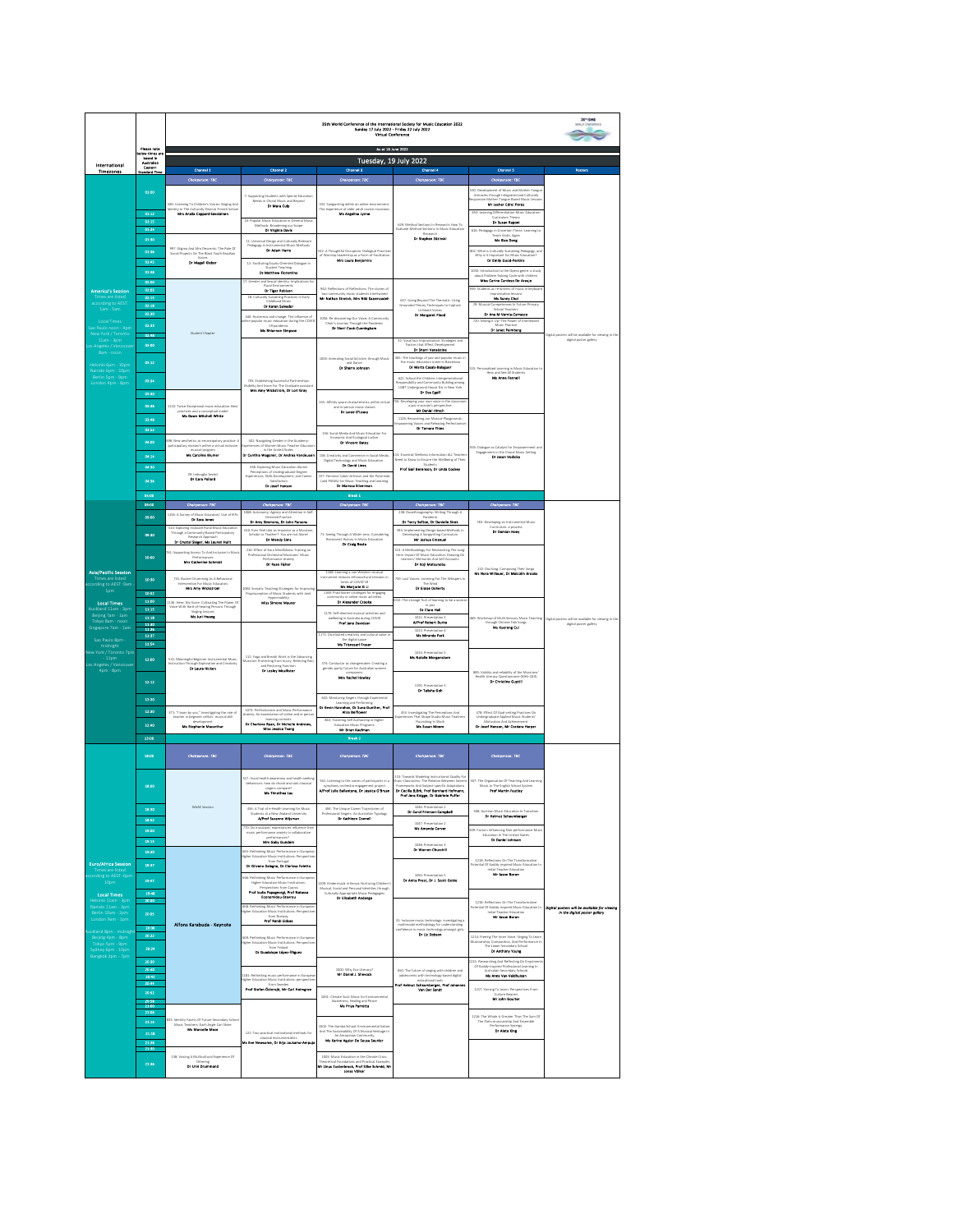|                                                                                                                                                                                                                                             | Please note                                                                                |                                                                                                                                                                                                               |                                                                                                                                                                                                                                                                                                                                                                         | As at 16 June 2022                                                                                                                                                                                                                                                                                                      |                                                                                                                                                                                                                                                                                                                                                                                                                                  |                                                                                                                                                                                                                                                                                                                                   |                                                                              |
|---------------------------------------------------------------------------------------------------------------------------------------------------------------------------------------------------------------------------------------------|--------------------------------------------------------------------------------------------|---------------------------------------------------------------------------------------------------------------------------------------------------------------------------------------------------------------|-------------------------------------------------------------------------------------------------------------------------------------------------------------------------------------------------------------------------------------------------------------------------------------------------------------------------------------------------------------------------|-------------------------------------------------------------------------------------------------------------------------------------------------------------------------------------------------------------------------------------------------------------------------------------------------------------------------|----------------------------------------------------------------------------------------------------------------------------------------------------------------------------------------------------------------------------------------------------------------------------------------------------------------------------------------------------------------------------------------------------------------------------------|-----------------------------------------------------------------------------------------------------------------------------------------------------------------------------------------------------------------------------------------------------------------------------------------------------------------------------------|------------------------------------------------------------------------------|
| International<br><b>Timezones</b>                                                                                                                                                                                                           | elow times a<br>based in<br>Australian<br>Eastern<br>Standard Tim                          | Channel 1                                                                                                                                                                                                     | Channel 2                                                                                                                                                                                                                                                                                                                                                               | Tuesday, 19 July 2022<br>Channel 3                                                                                                                                                                                                                                                                                      | ai 4                                                                                                                                                                                                                                                                                                                                                                                                                             | Chennel 5                                                                                                                                                                                                                                                                                                                         |                                                                              |
|                                                                                                                                                                                                                                             |                                                                                            | Chairperson: TBC                                                                                                                                                                                              | Chairperson: TBC                                                                                                                                                                                                                                                                                                                                                        | Chairperson: TBC                                                                                                                                                                                                                                                                                                        | Chairp<br>son: TBC                                                                                                                                                                                                                                                                                                                                                                                                               | Chairp<br>son: TBC                                                                                                                                                                                                                                                                                                                |                                                                              |
|                                                                                                                                                                                                                                             | 01:00<br>01:12<br>01:15                                                                    | <b>GEL:</b> Listening To Children's Voices: Singing An<br>Identity In The Culturally Diverse Finnish Schoo<br><b>Ides Analis Cappeni-Savolainen</b>                                                           | 7: Supporting Students with Special Education<br>Needs in Choral Music and Beyond<br>Dr Mara Culo<br>10: Popular Music Education in General Music<br>Methods: Broadening our Scope                                                                                                                                                                                      | 332: Songwriting within an online em<br>The experience of older adult novice<br><b>Ms Angeline Lynne</b>                                                                                                                                                                                                                | 629: Method Sections in Research: How To                                                                                                                                                                                                                                                                                                                                                                                         | .<br>180: Development of Music and Mother-To<br>Literacies through Integrated and Cultura<br>nic Lessi<br>Mr Josher Edrol Perez<br>653: Learning Differentiation Music Education<br>Curriculum Theory<br><b>Dr Secon Report</b>                                                                                                   |                                                                              |
|                                                                                                                                                                                                                                             | 01:24<br>01:50<br>onde<br>01:45                                                            | 997: Stigma And Afro Descents: The Role Of<br>Social Projects On The Black Youth Brazilian<br>Dr Magell Kleber                                                                                                | Dr Virginia Davis<br>11: Universal Design and Culturally Relevant<br>Pedagogy in Irat<br>nertal Music Methods<br>Dr Adam Harry<br>12: Facilitating Equity-Oriented Dialogue in                                                                                                                                                                                          | 142: A Thoughtful Disruption: Dislogical Practice<br>orship Leadership as a Form of<br><b>Mrs Laura Benjamins</b>                                                                                                                                                                                                       | Evaluate Method Sections In Music Education<br>Research<br>Dr Stephen Zdringtd                                                                                                                                                                                                                                                                                                                                                   | 616: Pedagogy in Uncertain Times: Learning to<br>Teach Violin, Again<br><b>Ma Xiao Dene</b><br>802: What is Culturally Sustaining Pedagogy, at<br>Why is it important for Music Education?<br><b>Dr Emily Good-Perlins</b>                                                                                                        |                                                                              |
| <b>America's Session</b><br>ccording to AEST<br><b>Local Times</b><br>sao Paulo noon - 4pm<br>New York / Toronto<br>11am - 3pm<br>: Angeles / Vancouvi<br>Helsinki 6pm - 10pm<br>Nairobi 6pm - 10pm<br>Berlin 5pm - 9pm<br>London 4pm - 8pm | 01:48<br>62:00<br>93:93<br>62:15<br>03:18<br>(0.10)<br>00:33                               |                                                                                                                                                                                                               | Student Teaching<br>Dr Matthew Florentino<br>7: Gender and Several Mentity: Implicati<br><b>Bread Fa</b><br>Dr Tiger Robison<br>18: Culturally Sustaining Practices in Early<br>Childhood My<br>ak<br>Dr Karen Salvador<br>440: Hysterenis and change: The influence of<br>eline popular music education during the COVI<br>$10\,\,\mathrm{pmdot}$ his Ahlennon Simpson | 962: Reflections of Reflections: The stories of<br>neo community music students intertwined<br><mark>Mr Hethen Stretch, Mrs Niki Kezemzedeh</mark><br>1056: Re-dacovering Our Voice; A Community<br>a a sourcey Through the Pande<br><b>Dr Sheri Cook-Cunninghem</b>                                                    | 657: Going Beyond The Thematic: Using<br>Theory Techniques to Capture<br>Dr Margaret Flood                                                                                                                                                                                                                                                                                                                                       | 1030: Introduction to the Opera genre: a study<br>about Prob<br>Solving Cycl<br>Miss Cartes Cerdoso De Arasto<br>.<br>22: Students as re-writers of music in ke<br><b>Improvision</b><br>29: Musical Competences In Future Pr<br>Dr Ans M Vernie-Cerrasco<br>720: Moing It Up-The Power of<br>Monic Dearties<br>Or Jenet Palmberg |                                                                              |
|                                                                                                                                                                                                                                             | $\omega$<br>03:12<br>00:24<br>03:30                                                        | Student Chapter                                                                                                                                                                                               | 703: Establishing Successful Partnerships:<br>Visibility And Voice For The Graduate-assistant<br>Mrs Any Wickstrom, Dr Lori Gray                                                                                                                                                                                                                                        | 1004: Animating Social Activism through Musi<br>and Dance<br>Or Sherry Johnson                                                                                                                                                                                                                                          | 32: Vocal Jazz Improvisation: Strategies and<br>Factors that Effect Development<br>Factors that Effect uses<br>Dr Sharri Veneixtine<br>355: The teachings of jazz and popular music in<br>ne in Barcelona<br>munic education scene in Barc<br><b>Dr Marte Casals-Balaguer</b><br>622: School the Children: Intergenerational<br>sibility and Community Building among<br>$1\,$ GBT Underground House Dh in New York Dr Eve Egolf | ed Learning in Music Education !<br>Hear and See All Studes<br><b>Ms Anne Fennell</b>                                                                                                                                                                                                                                             | Digital posters will be available for viewing in<br>digital poster gallery   |
|                                                                                                                                                                                                                                             | 03:36<br>03.45<br>03:52                                                                    | 1110: Twice-Exceptional music education: Best<br>practices and a conceptual model<br>Mix Dewn Mixchell White                                                                                                  |                                                                                                                                                                                                                                                                                                                                                                         | 155: Affinity space characteristics within virts<br>r etas<br>Dr Jared O'Leary<br>156: Social Media And Music Education For                                                                                                                                                                                             | &: Developing your own voice in the<br>ajaz<br><b>Mr Dealed Hirsch</b><br>1126: Recovering our Musical Playgrounds:<br>mpowering Voices and Releasing Perfectionis<br><b>Dr Taneers Thies</b>                                                                                                                                                                                                                                    |                                                                                                                                                                                                                                                                                                                                   |                                                                              |
|                                                                                                                                                                                                                                             | 04:00<br>0014<br>04:50<br>06:55                                                            | Sti: New aesthetics as emancipatory practice: A<br>musical program<br>Ms Carolina Blumer<br>39: Imbroglo Sextet<br><b>Dr Cara Polland</b>                                                                     | 401: Navigating Gender in the Academy:<br>.<br>In the United States<br>In the United States<br>in the United States<br>Dr Cynthia Wagoner, Dr Andrea Yander<br>538: Exploring Music Education Alumn<br>Perceptions of Undergraduate Degree<br>Experiences, Skills Development, and Career<br>Satisfaction                                                               | cromic And Ecological :<br><b>Dr Vincent Babes</b><br>158: Creativity and Commerce in Social Media<br>Digital Tech<br>and Music Educati<br>Dr David Unes<br>157: Feminist Cyber-Artistsm and the Potentials<br>(and Pitfalls) for Music Teaching and Learning<br><b>Dr Merisse Silvermen</b>                            | 113: Exsential Wellness Information ALL Teacher:<br>Need to Know to Emure the Wellbeing of Their<br>Prof Gall Berenson, Dr Linda Cockey                                                                                                                                                                                                                                                                                          | 226: Dialogue as Catalyst for Empowerment<br>---> in the Choral Music Setting<br>ent in the Choral Mu<br><b>Dr Jeson Vodicka</b>                                                                                                                                                                                                  |                                                                              |
|                                                                                                                                                                                                                                             | 05:00                                                                                      |                                                                                                                                                                                                               | Dr Josef Henson                                                                                                                                                                                                                                                                                                                                                         | Brask <sub>1</sub>                                                                                                                                                                                                                                                                                                      |                                                                                                                                                                                                                                                                                                                                                                                                                                  |                                                                                                                                                                                                                                                                                                                                   |                                                                              |
|                                                                                                                                                                                                                                             | 09:00                                                                                      | Chairparson: TBC                                                                                                                                                                                              | <b>Chairperson: TBC</b>                                                                                                                                                                                                                                                                                                                                                 | Chairperson: TBC                                                                                                                                                                                                                                                                                                        | <b>Chairperson: TBC</b>                                                                                                                                                                                                                                                                                                                                                                                                          | Chairperson: TBC                                                                                                                                                                                                                                                                                                                  |                                                                              |
|                                                                                                                                                                                                                                             | 09:00<br>09:30                                                                             | 1156: A Survey of Music Educators' Use of IEPs<br><b>Dr Sara Jones</b><br>324: Exploring Inclusive Rural Music Education<br>Through a Co<br>nmunity-Based Participatory<br>Dr Crystal Sleger, Ms Lauren Hullt | onomy, Agency and Attention in Se<br>Dr Amy Simmons, Dr John Persons<br>610: Ever Feel Like an Importor as a Musician<br>Scholar or Teacher? You are not Alone!<br>Or Woody Store                                                                                                                                                                                       | 71: Seeing Through A Wider Lens: Considering<br>tory in Music Education<br>Revisionist Hi<br>Dr Croix Rosts                                                                                                                                                                                                             | Duorthraga<br>raphy: Writing Through<br>Dr Terry Sefton, Dr Denisile Sirek<br>394: Implementing Design-based Methods In<br>Developing A Songs<br>thing Curriculum<br>Mr Joshua Emanuel                                                                                                                                                                                                                                           | 783: Developing an Instrumental Music<br>Curriculum: a process<br>Dr Damian Hopy                                                                                                                                                                                                                                                  |                                                                              |
| <b>Asia/Pacific Session</b><br>Times are listed<br>rding to AEST: 9am                                                                                                                                                                       | 10:00<br>10:30                                                                             | 761: Supporting Access To And Inclusion in Mus<br>Mrs Catherine Schmidt<br>731: Bucket Drumming As A Behavioral<br>Intervention For Music Educators<br><b>Mrs Amy Wickstrom</b>                               | 216: Effect of Koru Mindfulness Training on<br>Professional Orchestral Musicians' Music<br>Performance Acolety<br><b>Dr Ryan Pisher</b>                                                                                                                                                                                                                                 | 1168: Learning a non-Western musical<br>trument reduces ethnocultural tensions in<br>instrum<br>Ms Merjorie C U                                                                                                                                                                                                         | 513: A Methodology For Researching The Long-<br>term impact Of Music Education: Drawing On<br>Learners' Memories And Self Accounts<br><b>Dr Koji Matsunoba</b><br>759: Lost Voices: Listening For The Whispers in<br>The Wind<br>Or Eloise Doherty                                                                                                                                                                               | 232: Doctong: Composing Their Songs<br>Ms Nore Willeuer, Dr Melcolm Brooks                                                                                                                                                                                                                                                        |                                                                              |
| 1pm<br><b>Local Times</b><br>Auckland 11am - 3pm<br>Beijing 7am - 1am<br>Tokyo Sam - noon<br>Singapore 7am - 1am<br>Sao Paulo 8pm                                                                                                           | 10:52<br>11:00<br>13:15<br>11:18<br>$\begin{array}{c} 11.30 \\ 11.55 \end{array}$<br>11:37 | 1136: Here, My Voice: Cultivating The Power Of<br>Voice With Hard-of-hearing Per<br><b>Singing Lessons</b><br>Mix Juri Horang                                                                                 | 1984: Somatic Teaching Strategies for Improvi<br>Proprioception of Music Students with Joint<br>Hypermobility<br>Miss Simone Mourar                                                                                                                                                                                                                                     | $\frac{1169}{\footnotesize \text{Practliberer strategy}} \text{for engaging} \\ \text{corresponding} \\$<br>Dr Alexander Crooks<br>1170: Self-directed musical activities and<br>wellbeing in Australia during COVID<br><b>Prof June Davidson</b><br>1171: Distributed creativity and cultural value i<br>the digital s | DIO: The strange fruit of learning to be a w<br>Dr Clare Hall<br>1011: Prove<br>Afred Robert Burks<br>1013: Presentation 4<br>Mix Miranda Park                                                                                                                                                                                                                                                                                   | 59: Workshop of Multi-Servory Music Teaching<br>ough Chinese Folk Songs<br><b>Ms Xuerong Cui</b>                                                                                                                                                                                                                                  | Dietal posters will be available for viewing in th<br>digital poster gallery |
| midnight<br>lew York / Toronto 7p<br>-<br>Los Angeles / Vancouv<br>4pm - 8pm                                                                                                                                                                | 11:54<br>12:00<br>12:12                                                                    | 531: Meaningful Beginner Instrumental Music<br>Instruction Through Exploration and Creativity<br>Dr Laura Michael                                                                                             | 112: Yoga and Breath Work in the Advant<br>Protecting from Injury, Relieving Pair<br>Or Lesley Monitores                                                                                                                                                                                                                                                                | <b>Me Triumpart Frager</b><br>374: Conductor as changemaker: Creating a<br>gender parity future for Australian women<br><b>Mrs Rechal Houser</b>                                                                                                                                                                        | 1014: Presentation 5<br>Ms Natalie Morgenstern<br>1191: Presentation<br><b>Dr Tulishe Con</b>                                                                                                                                                                                                                                                                                                                                    | BBS: Validity and reliability of the Musicians<br>Health Liberacy Questionnaire (MHL-Q19)<br>Dr Christina Guptill                                                                                                                                                                                                                 |                                                                              |
|                                                                                                                                                                                                                                             | 12:20<br>12:50<br>12:40<br>13:00                                                           | 371: "I learn by you." Investigating the role of<br>teacher in beeinner cellists" musical skill<br>Ms Stephenie Macerthur                                                                                     | 1074 Referingson and Music References<br>ren ed earl<br>and in run<br>kaming consexs<br>Dr Charlene Ryse, Dr Nicholle Andrews,<br>Idies Jessico Tsang                                                                                                                                                                                                                   | 642: Mentoring Singers through Experiential<br>d Perfc<br>Dr Kevin Henrehen, Dr Suns Gunther, Prof.<br>Also bettered<br>Fostering Self Authorship in Highe<br>Education Music Documents<br><b>Mr School Continues</b><br>Break 2                                                                                        | 453: Investigating The Perceptions And<br>seriences That Shape Studio Music Teach<br>Studio Music Teache<br>In Worl<br>Flourishing In Work<br>Mit Steuen Moore                                                                                                                                                                                                                                                                   | 478: Effect Of Goal-setting Practices On<br>Or Josef Hanson, Mr Corders Herces                                                                                                                                                                                                                                                    |                                                                              |
|                                                                                                                                                                                                                                             | 18:00                                                                                      | Chairperson: TBC                                                                                                                                                                                              | Chairperson: TBC                                                                                                                                                                                                                                                                                                                                                        | Choirperson: TBC                                                                                                                                                                                                                                                                                                        | Chairperson: TBC                                                                                                                                                                                                                                                                                                                                                                                                                 | Chairperson: TBC                                                                                                                                                                                                                                                                                                                  |                                                                              |
|                                                                                                                                                                                                                                             | 18:00<br>18:30                                                                             | <b>WAAE Session</b>                                                                                                                                                                                           | 417: Vocal health awareness and health-seeking<br>behaviours: how do choral and solo classical<br>singers compare?<br>Mis Timothea Leu                                                                                                                                                                                                                                  | 561: Listening to the voices of participants in<br><b>symphony orchestra engagement project</b><br><b>A/Prof Julie Ballantyne, Dr Jessica O'Bryan</b><br><b>OA: The Un</b><br>pe Career Tra                                                                                                                             | 220: Towards Mode<br>ring Instructional Quality Fo<br>nic Class<br>orn: The Relation Between<br>Frameworks And Subject-specific Adaptations<br>Dr Cocilia Björk, Prof Bernhard Hofmann,<br>Frof Jens Knigge, Dr Gabriele Puffer                                                                                                                                                                                                  | 507: The Organisation Of Teaching And Learnin<br>in The English School System<br><b>Prof Martin Fautley</b>                                                                                                                                                                                                                       |                                                                              |
|                                                                                                                                                                                                                                             | 18:52<br>19:00<br>19:15                                                                    |                                                                                                                                                                                                               | 450: A Trial of e-Health Learning for Mus<br>Students at a New Zealand University<br><b>AProf Suzanne Wijaman</b><br>$\begin{array}{l} \textbf{770: Do maintain' expectations influence their} \\ \textbf{must performance areots by in collaborative} \end{array}$<br>Mrs Gaby Gunders                                                                                 | Profes<br>Typology<br>al Singers An Australia<br>Dr Kathleen Connell                                                                                                                                                                                                                                                    | Dr Carol Prierson-Campbell<br>1047: Presentation 2<br>Ms Amanda Carver                                                                                                                                                                                                                                                                                                                                                           | 500: Austrian Music Education In Transition<br>Dr Heimut Schaumberger<br>.<br>Dr. Factors Influencing Non-performance Mus<br>Education in The United States<br>Dr Daniel Johnson                                                                                                                                                  |                                                                              |
| <b>Euro/Africa Session</b><br>ording to AEST: 6p<br>10 <sub>0</sub>                                                                                                                                                                         | 19:30<br>19:37<br>19:47                                                                    |                                                                                                                                                                                                               | 665: Rethinking Music Performance in European<br>ligher Education Music Institutions: Perspective<br>from Ports<br>Dr Gilvano Dalagna, Dr Clarissa Foletto<br><b>DSG: Rethinking Music Performance in Europe</b><br>Higher Education Music Institut                                                                                                                     |                                                                                                                                                                                                                                                                                                                         | 1048: Presentation 3<br>Dr Warren Churchill<br>1050: Presentation 5<br>Dr Anita Prest, Dr J. Scott Gobie                                                                                                                                                                                                                                                                                                                         | 1218: Reflections On The Transformativ<br>stential Of Kodály-Impired Music Education<br>Initial Teacher Education<br>Mr Jason Beron                                                                                                                                                                                               |                                                                              |
| <b>Local Times</b><br>Helsinki 11am - 3pm<br>Nairobi 11am - 3pm<br>Berlin 10am - 2pm<br>London 9am - 1pm<br>ackland 8pm - midnig                                                                                                            | 19:48<br>20:00<br>20:05<br>20:00<br>20:22                                                  | Alfons Karabuda - Keynote                                                                                                                                                                                     | spectives from Cv<br>Prof louis Papageorgi, Prof Natessa<br>Economidou-Stavrou<br>668: Rathinking Music Performance in European<br>Higher Education Music Institutions: Perspective<br><b>Prof Rendi Eldese</b>                                                                                                                                                         | 1209: Kindermusk in Kenya: Narturing Children's<br>Musical, Social and Personal Identities through<br>Culturally Appropriate Music Pedagogies<br>Dr Elizabeth Andango                                                                                                                                                   | 31: Inclusive music technology: investigating a<br>$m$ of the understanding<br>$m$ $\sim$<br>onfidence in r<br>any amongst gl<br><b>Dr Liz Dobros</b>                                                                                                                                                                                                                                                                            | 1218: Reflections On The Transformative<br>tential Of Kodály-impired Music Education In<br>Initial Teacher<br>Mir Jason Boron<br>Feacher Education                                                                                                                                                                                | Digital posters will be available for view!<br>In the digital poster gallery |
| Beijing 4pm - 8pm<br>Tokyo 5pm - 9pm<br>.<br>Sydney 6pm - 10pm<br>Bangkok 3pm - 7pm                                                                                                                                                         | 20:24<br>20:50<br>20:40                                                                    |                                                                                                                                                                                                               | 669: Rethinking Music Performance in European<br>lieber Education Music Institutions: Perspective<br>from Finland<br>Dr Guadalupe López-Ífliguez                                                                                                                                                                                                                        | 1000: Why Eco-Liberacy?<br>Mr Daniel J. Showeck                                                                                                                                                                                                                                                                         | 650: The future of singing with children and                                                                                                                                                                                                                                                                                                                                                                                     | 1214: Freeing The Inner Voice: Singing To Lear<br>Musicianship, Composition, And Performance I<br>Lower Secondary Sch<br>Dr Anthony Young<br>215: Researching And Reflecting On Enactment<br>Of Kodály-impired Professional Learning In<br>ralian Secondary Schools                                                               |                                                                              |
|                                                                                                                                                                                                                                             | 20:42<br>20:52<br>20:58<br>21:0                                                            |                                                                                                                                                                                                               | 181: Rethinking music performance in Europea<br>Prof Stefan Östersjö, Mr Carl Holmgren                                                                                                                                                                                                                                                                                  | 1001: Clmate Soul: Music for Environmental<br>Awaren<br>rss, Healing and Peace<br><b>Big Priva Parrotto</b>                                                                                                                                                                                                             | adolescents with technology-based digital<br>educational tools<br>Prof Helmut Scheumberger, Prof Johannes<br>Yen Der Sendt                                                                                                                                                                                                                                                                                                       | <b>Me Anne Van Verdireisen</b><br>1217: Yarning To Learn: Perspectives From<br>Culture Bearers<br>Mr John Goultan                                                                                                                                                                                                                 |                                                                              |
|                                                                                                                                                                                                                                             | 21:14<br>21:18<br>21:28<br>21:30                                                           | 833: Identity Facets Of Future Secondary Scho<br>Music Teachers: Each Angle Can Shine<br><b>Me Mercelle Moor</b>                                                                                              | 122: Two practical motivational methods for<br>ids Eve Newsome, Dr Eria Joukamo-A                                                                                                                                                                                                                                                                                       | .<br>1002: The Gambá School: Environmental Values<br>And The Sustainability Of A Musical Hentage In<br>An Amazonian Community<br>Ms Karine Agular De Souse Seunier                                                                                                                                                      |                                                                                                                                                                                                                                                                                                                                                                                                                                  | 1216: The Whole Is Greater Than The Sum Of<br>ts:musiciamhip And En<br>Performance Synergy<br><b>Driviets King</b>                                                                                                                                                                                                                |                                                                              |
|                                                                                                                                                                                                                                             | 21:36                                                                                      | 138: Voicing A Multicultural Experience Of<br>Othering<br><b>Dr Urvi Drummond</b>                                                                                                                             |                                                                                                                                                                                                                                                                                                                                                                         | 2003: Music Education in the Climate Crisis<br>Theoretical Foundations and Practical Examples<br>Mr Linus Eusterbrock, Prof Silks Schmid, Ne<br>Jones Volker                                                                                                                                                            |                                                                                                                                                                                                                                                                                                                                                                                                                                  |                                                                                                                                                                                                                                                                                                                                   |                                                                              |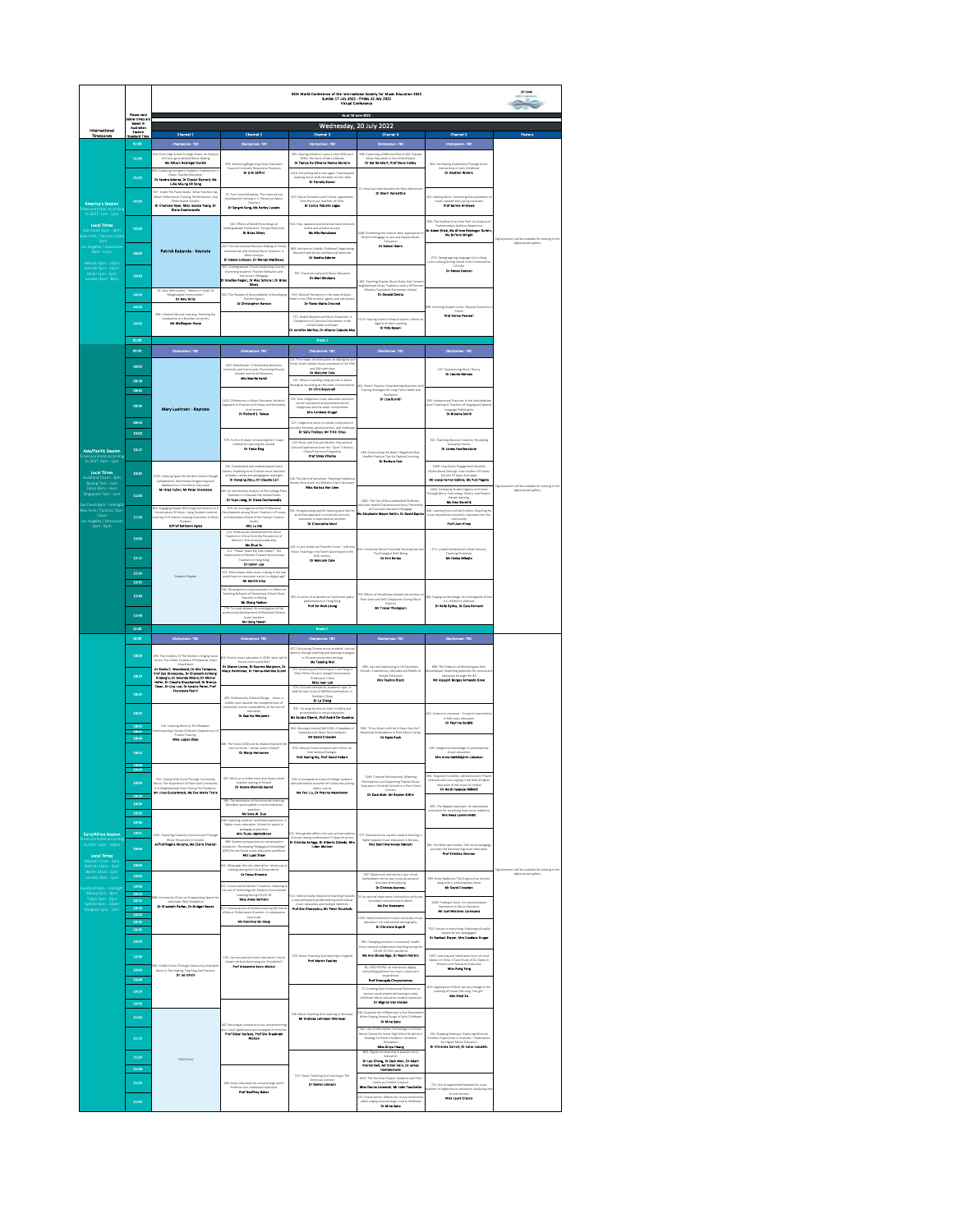|                                                                                                 |                                                                                   | 35th World Conference of the International Society for Mesic Education 2022<br>Sunday 17 July 2022 - Friday 22 July 2022<br>Writual Conference                                                                                                                                                                                                                                                                               |                                                                                                                                                                         |                                                                                                                                                                                                                                                                                                                                                                                                                                                                                                                           |                                                                                                                                                                                                                                                                                                                                                            |                                                                                                                                                                                                |                                                      |  |  |
|-------------------------------------------------------------------------------------------------|-----------------------------------------------------------------------------------|------------------------------------------------------------------------------------------------------------------------------------------------------------------------------------------------------------------------------------------------------------------------------------------------------------------------------------------------------------------------------------------------------------------------------|-------------------------------------------------------------------------------------------------------------------------------------------------------------------------|---------------------------------------------------------------------------------------------------------------------------------------------------------------------------------------------------------------------------------------------------------------------------------------------------------------------------------------------------------------------------------------------------------------------------------------------------------------------------------------------------------------------------|------------------------------------------------------------------------------------------------------------------------------------------------------------------------------------------------------------------------------------------------------------------------------------------------------------------------------------------------------------|------------------------------------------------------------------------------------------------------------------------------------------------------------------------------------------------|------------------------------------------------------|--|--|
|                                                                                                 |                                                                                   |                                                                                                                                                                                                                                                                                                                                                                                                                              |                                                                                                                                                                         | As at 18 June 2022                                                                                                                                                                                                                                                                                                                                                                                                                                                                                                        |                                                                                                                                                                                                                                                                                                                                                            |                                                                                                                                                                                                |                                                      |  |  |
| International<br><b>Timesones</b>                                                               | Please note<br>slow times as<br>based in<br>Australian<br>Eastern<br>Isaderd Time | Channel 1                                                                                                                                                                                                                                                                                                                                                                                                                    | Channel 2                                                                                                                                                               | Channel 3                                                                                                                                                                                                                                                                                                                                                                                                                                                                                                                 | Wednesday, 20 July 2022<br><b>Channel 4</b>                                                                                                                                                                                                                                                                                                                | Channel 5                                                                                                                                                                                      | Posters                                              |  |  |
|                                                                                                 | 01:00                                                                             | Chalgerook TBC<br>High School To High Chairs: An Ana                                                                                                                                                                                                                                                                                                                                                                         | Chairparson: TBC                                                                                                                                                        | Chaliperson: TBC<br>505: Hearing children's voice in the 1920s and                                                                                                                                                                                                                                                                                                                                                                                                                                                        | Chaleparace: TBC<br>122: Examining a Different Kind of 360: Popula                                                                                                                                                                                                                                                                                         | Chalyparack: TBC                                                                                                                                                                               |                                                      |  |  |
|                                                                                                 | 01:00                                                                             | <b>Cross-generations Make</b><br>Mis Allison Reisinger Derbin<br>92: Exploring Immigrant Students' Experiences I                                                                                                                                                                                                                                                                                                             | 932: Mentorine Beelevine Music Education                                                                                                                                | 1930s: the work of Satis Coleman<br>Dr Tamya De Olfreira Ramos Moreira                                                                                                                                                                                                                                                                                                                                                                                                                                                    | Music Education in the united scates                                                                                                                                                                                                                                                                                                                       | 906: Facilitating Eudaimonia Through Musi                                                                                                                                                      |                                                      |  |  |
|                                                                                                 | 01:30                                                                             | Dr Sandra Adorno, Dr Crystal Gerrard, Ma<br>Julia Myung Ok Song                                                                                                                                                                                                                                                                                                                                                              | Towards Culturally Responsive Practices                                                                                                                                 | 1140: Everything old is new again: Teaching and<br>music skills remotely via the rain.<br><b>Dr Pamela Stover</b><br>learning:                                                                                                                                                                                                                                                                                                                                                                                            |                                                                                                                                                                                                                                                                                                                                                            | Interactions in Early Childhood<br><b>Dr Heether Waters</b>                                                                                                                                    |                                                      |  |  |
|                                                                                                 | $\alpha \omega$                                                                   | 917: Inside The Piano Studio: What Teachers Sa<br>ce Training, Perfectionism, Ani<br>un Davis                                                                                                                                                                                                                                                                                                                                | 70: Two-Faced Minduets: The Intercultural<br>Development Among U.S. Preservice Music                                                                                    | 637: Music Education and Culture                                                                                                                                                                                                                                                                                                                                                                                                                                                                                          | II: Vocal Jazz Improvisation for New<br>D <b>r Shorri Vocalsière</b>                                                                                                                                                                                                                                                                                       | 1999: Making Music: Examining the paran<br>music created with young musicia                                                                                                                    |                                                      |  |  |
| America's Session                                                                               |                                                                                   | Determine Antisty<br>Dr Charlens Ryan, Miss Jessica Tsong, Dr<br>Diana Damiawaalla                                                                                                                                                                                                                                                                                                                                           | Dr Sanged Kang, Ma Merley Lucado                                                                                                                                        | from the music teachers of Chile.<br><b>Dr Corios Pobleto Lagos</b>                                                                                                                                                                                                                                                                                                                                                                                                                                                       |                                                                                                                                                                                                                                                                                                                                                            | c created with young must<br><b>PIPE Banda Auditor</b>                                                                                                                                         |                                                      |  |  |
| <b>Local Times</b><br>York / Toronto 11:                                                        | œm                                                                                |                                                                                                                                                                                                                                                                                                                                                                                                                              | 165: Effects of Model Recordings on<br>Inc. attents or renorm: Tempo Selection<br>Undergraduate Conductors' Tempo Selection<br><b>Dr Brian Silvey</b>                   | <b>914: How Japanese and American band d</b><br>define and achieve success.<br>Not have been away                                                                                                                                                                                                                                                                                                                                                                                                                         | LCOR: Redefining the Groove: New Approaches 1<br>Rhythm Pedagogy in Jazz and Popular Music                                                                                                                                                                                                                                                                 | .<br>252: The Shallow End of the Pool: An A<br>Postsecondary Audition Repertaire<br>Or Adam Gried, bis Allison Reisinger Durbis<br>Ida Bri'Ann Weight                                          | ble for viewing in t                                 |  |  |
| țeles / Vancou<br>Iam - noon<br>sinki 6pm - 10pm<br>.<br>Nairobi 6pm - 10pm<br>London 4pm - 8pm | 69.00                                                                             | Patrick Kabanda - Keynote                                                                                                                                                                                                                                                                                                                                                                                                    | 219: The instructional Decision Making of Chora<br>Instrumental and Ceneral Music Teachers: A<br>Meta-Analysis<br>Dr Daniel Johnson, Dr Wendy Metthews                  | <b>BEC: Anthems in Middle Childhood: Negotiating</b><br>Musical Experiences and National Identities                                                                                                                                                                                                                                                                                                                                                                                                                       | Or holive false                                                                                                                                                                                                                                                                                                                                            | G72: Desegregating Language Use in Song<br>price:Valuing Strong Voices From Communities<br>Of Color                                                                                            | digital poster gallery                               |  |  |
|                                                                                                 | $00-20$                                                                           |                                                                                                                                                                                                                                                                                                                                                                                                                              | 61: Undergraduate Choral Conducting Coune<br>Examining Students' Practice Behaviors and<br>Intrustan' Pedagogy<br>Or Bradley Region, Dr Ales Scherer, Dr Bria<br>tiney. | 762: Transculturality and Music Education<br>Dr Mari Shielana                                                                                                                                                                                                                                                                                                                                                                                                                                                             | <b>182: Teaching Popular Music Styles that Conne</b><br>Wighborhood Music Traditions with a 99 Perces                                                                                                                                                                                                                                                      | <b>Dr Assoc Duncan</b>                                                                                                                                                                         |                                                      |  |  |
|                                                                                                 | 64.00                                                                             | 62: Any Hills (sialin): "Identity in Masic of<br>Marginalized Communities"<br>Dr Any Hills                                                                                                                                                                                                                                                                                                                                   | 10: The Paradox of Accountability in D<br>Teacher Agency<br><b>BY Christopher Honoce</b>                                                                                | GD: Model Cometon in the state of Colde-<br>icall in the 19th century: agents and institutions<br><b>Or Fixels Maria Cravical</b>                                                                                                                                                                                                                                                                                                                                                                                         | Minority Population Elementar<br>tary School                                                                                                                                                                                                                                                                                                               |                                                                                                                                                                                                |                                                      |  |  |
|                                                                                                 | 04:20<br>64.50                                                                    | $\,$ 1994: Informal Musical Learning: Teaching the cavaquiribo at a Brazilian university of $\,$ 1995 and the case of $\,$                                                                                                                                                                                                                                                                                                   |                                                                                                                                                                         | 727: Global Mindset and Music Education: A<br>Dr Jennifer Melliso, Dr Alberto Cabado M                                                                                                                                                                                                                                                                                                                                                                                                                                    | 1124: Hearing Voice in Musical Spaces: Infants at<br>Agents of their Learning<br>Or Mits Based                                                                                                                                                                                                                                                             | GR: Honoring Student Voice: Musical Creativity<br>Chair<br><b>Prof Alman Pages@</b>                                                                                                            |                                                      |  |  |
|                                                                                                 | 03:00                                                                             |                                                                                                                                                                                                                                                                                                                                                                                                                              |                                                                                                                                                                         | bush 1                                                                                                                                                                                                                                                                                                                                                                                                                                                                                                                    |                                                                                                                                                                                                                                                                                                                                                            |                                                                                                                                                                                                |                                                      |  |  |
|                                                                                                 | 09:00                                                                             | Chairparson: TBC                                                                                                                                                                                                                                                                                                                                                                                                             | Chairparace: TBC                                                                                                                                                        | <b>Chairperson: TBC</b>                                                                                                                                                                                                                                                                                                                                                                                                                                                                                                   | Chaliperson: TBC                                                                                                                                                                                                                                                                                                                                           | Chairpense: TBC                                                                                                                                                                                |                                                      |  |  |
|                                                                                                 | 09.00                                                                             |                                                                                                                                                                                                                                                                                                                                                                                                                              | 849: MusicReach: A Partnership Betw<br>y and Cor<br>ting Musica<br>outh and Social Networks<br><b>Intra Marilla Kemil</b>                                               | L24: The impact of colonisation on Aboriginal an<br>Forres Strait Islander music processes in the 19t<br>Dr Mulcolm Colu                                                                                                                                                                                                                                                                                                                                                                                                  |                                                                                                                                                                                                                                                                                                                                                            | 347:6x<br>Experiencing Music Theory<br><b>In Locale Holmes</b>                                                                                                                                 |                                                      |  |  |
|                                                                                                 | co-sa<br>69.99                                                                    |                                                                                                                                                                                                                                                                                                                                                                                                                              |                                                                                                                                                                         | 125: What a traveling song can tell us about<br>boriginal musicking at the onset of colonisation<br><b>Dr Clint Brackeell</b>                                                                                                                                                                                                                                                                                                                                                                                             | .<br>G: Potent Practice: Empowering Musicians wi<br>Training Strategies for Long-Term Health and                                                                                                                                                                                                                                                           |                                                                                                                                                                                                |                                                      |  |  |
|                                                                                                 | code                                                                              |                                                                                                                                                                                                                                                                                                                                                                                                                              | 1025: Differences in Music Education Students<br>Approach to Practice on Primary and Secondary                                                                          | $\begin{minipage}{0.9\linewidth} \textbf{136. How independent must be obtained with a non-rotational solution} \end{minipage} \begin{minipage}{0.9\linewidth} \textbf{136.} \end{minipage} \begin{minipage}{0.9\linewidth} \textbf{148.} \end{minipage} \begin{minipage}{0.9\linewidth} \textbf{158.} \end{minipage} \begin{minipage}{0.9\linewidth} \textbf{168.} \end{minipage} \begin{minipage}{0.9\linewidth} \textbf{178.} \end{minipage} \begin{minipage}{0.9\linewidth} \textbf{188.} \end{minipage} \begin{minip$ | <b>Dealistics</b><br>De Lisa Barrell                                                                                                                                                                                                                                                                                                                       | $\begin{array}{ll} \textbf{G2C} & \textbf{interperional Fractions in the individual}\\ \textbf{V size Teaching of Tackers of Saging and Spose}\\ & \textbf{Largegap Pathologists} \end{array}$ |                                                      |  |  |
|                                                                                                 | 654                                                                               | Mary Luchrson - Keynote                                                                                                                                                                                                                                                                                                                                                                                                      | Or Richard S. Polase                                                                                                                                                    | 127: Indiannous music in tertiary (methodoxy)                                                                                                                                                                                                                                                                                                                                                                                                                                                                             |                                                                                                                                                                                                                                                                                                                                                            |                                                                                                                                                                                                |                                                      |  |  |
|                                                                                                 | 10:00                                                                             |                                                                                                                                                                                                                                                                                                                                                                                                                              |                                                                                                                                                                         | dia: histories, good practices, and chall<br><b>Or Solly Troloys, Mr Tiriki Onus</b>                                                                                                                                                                                                                                                                                                                                                                                                                                      |                                                                                                                                                                                                                                                                                                                                                            |                                                                                                                                                                                                |                                                      |  |  |
| Asla/Pacific Session                                                                            | 10:12                                                                             |                                                                                                                                                                                                                                                                                                                                                                                                                              | 979: To B or B sharp: Introducing the C major<br>of for learning the skulete<br><b>Or Flore Eleg</b>                                                                    | 129: Music and Cultural identity: Educational<br>Cultural Experiences from the "Qom" Ethnicity<br>Chaco Province of Argentina                                                                                                                                                                                                                                                                                                                                                                                             |                                                                                                                                                                                                                                                                                                                                                            | 702: Teaching Musical Creativity: Revealing<br>Australian Voices<br>Dr James Humberstone                                                                                                       |                                                      |  |  |
| is are listed accor<br>o AEST: 9am - 1pm                                                        |                                                                                   |                                                                                                                                                                                                                                                                                                                                                                                                                              | 745: Overbooked and underprepared musi-                                                                                                                                 | Prof Silvie Wilelbe                                                                                                                                                                                                                                                                                                                                                                                                                                                                                                       | 440: Overcoming the Rosin's Negativity Rias:<br>Healthy Practice Tips for Optimal Learning<br>$\begin{array}{ll} \textbf{Dr} \textbf{ B} \textbf{c} \textbf{d} \textbf{s} \textbf{f} \textbf{f} \textbf{f} \textbf{f} \textbf{f} \textbf{f} \textbf{f} \textbf{f} \textbf{f} \textbf{f} \textbf{f} \textbf{f} \textbf{f} \textbf{f} \textbf{f} \textbf{f}$ |                                                                                                                                                                                                |                                                      |  |  |
| Local Times<br>uckland 11am - 3pm<br>Beijing 7am - 1am<br>Tokyo 8am - noon                      | 10:50                                                                             | 1139: Creating Space for Student Voices throug<br>Collaborative, Multimedia Songwriting with                                                                                                                                                                                                                                                                                                                                 | sec Exploring rural Chinese music teach<br>Studes, needs and pedagogical strategi<br><b>Dr Danging Zhou, Dr Claudin Call</b>                                            | 148: The Spirit of Samulnori: Teaching Tradition.                                                                                                                                                                                                                                                                                                                                                                                                                                                                         |                                                                                                                                                                                                                                                                                                                                                            | 1959: How Music Engagement Benefits<br>Wicultural Settings: Case Studies in Priman<br>Mr Josep Ferran Galicia, Ms Vold Vapeta                                                                  |                                                      |  |  |
| ire 7am - 1an                                                                                   | 11:00                                                                             | Mr Brad Puller, Mr Peter Organizie                                                                                                                                                                                                                                                                                                                                                                                           | <b>K: An Introductory Analysis of Pre-College Pla</b><br>Teachers in China and the United States<br>Or Yuan Jiang, Dr Diana Damlarandia                                 | cussion in a Western-style Classroot<br><b>Mins Karissa Van Linu</b>                                                                                                                                                                                                                                                                                                                                                                                                                                                      |                                                                                                                                                                                                                                                                                                                                                            | 1016: Increasing Student Agency and Voice<br>Brough Music Technology, Choice, and Projec<br>Rased Learning                                                                                     | s will be available for vi<br>digital poster gallery |  |  |
| ulo 8pm - midrig<br>irk / Toronto 7pn                                                           |                                                                                   | IS2: Engaging Deeply With Cognitive Science in<br>Conservatory Of Music: Using Student-centre<br>Learning To Enhance Learning Outcomes in Mu                                                                                                                                                                                                                                                                                 | 629: An investigation of the Professional<br>Development among Music Teachers in Prima<br>and Secondary School of the Famous Teacher                                    | 1931: Foregrounding specific learning priorities fo<br>an ethical approach to intercultural music<br>education in superdiserse societies                                                                                                                                                                                                                                                                                                                                                                                  | 1082: The Tap of Musculoskeletal Wells<br>ation and Injury Preven<br><b>COLE</b><br>as Cos<br>tial Classro<br>ida Stephania Mayor-Sattin, Dr David Kapia                                                                                                                                                                                                   | <b>Mo Any Swietlik</b><br>40: Learning from and with others: Reaching fi<br>music beyond the university classroom into the                                                                     |                                                      |  |  |
| 11pm<br>Los Angeles / Vancouve<br>4pm - 8pm                                                     | 11:50                                                                             | Affred Enthican Agres                                                                                                                                                                                                                                                                                                                                                                                                        | <b>MALLA</b> DIA                                                                                                                                                        | Or Cherulatha Mast                                                                                                                                                                                                                                                                                                                                                                                                                                                                                                        |                                                                                                                                                                                                                                                                                                                                                            | Prof Lines Views                                                                                                                                                                               |                                                      |  |  |
|                                                                                                 | 12.00                                                                             |                                                                                                                                                                                                                                                                                                                                                                                                                              | 220: Professional Development for Music<br>Teachers in China From the Pempective of Mentors' Instructional Leadership<br><b>Ma Zhoo Yo</b>                              |                                                                                                                                                                                                                                                                                                                                                                                                                                                                                                                           |                                                                                                                                                                                                                                                                                                                                                            |                                                                                                                                                                                                |                                                      |  |  |
|                                                                                                 | 12:12                                                                             | Student Chapte                                                                                                                                                                                                                                                                                                                                                                                                               | 221: "Please Teach My Kids Harder": The<br>Expectations of Parents Toward Instrumental                                                                                  | (20: A Less Visible vet Powerful Voice - Infor<br>Music Teaching in Far North Queensland in the<br>20th century.<br><b>Dr Mulcolm Cole</b>                                                                                                                                                                                                                                                                                                                                                                                | (2) University Music Ensemble Particia<br>Psychological Well-Being<br>Psychological Well<br>Psychology                                                                                                                                                                                                                                                     | 471: Lyndall Hendrickson's Multi-Ser<br><b>Teaching Processes</b><br>M <b>a tholyn Mikelin</b>                                                                                                 |                                                      |  |  |
|                                                                                                 | 12:24                                                                             |                                                                                                                                                                                                                                                                                                                                                                                                                              | ong<br><b>Architector</b><br>:<br>221: What impact does music making in the real<br>world have on classroom music in a digital age?                                     |                                                                                                                                                                                                                                                                                                                                                                                                                                                                                                                           |                                                                                                                                                                                                                                                                                                                                                            |                                                                                                                                                                                                |                                                      |  |  |
|                                                                                                 | $12 - 3$                                                                          |                                                                                                                                                                                                                                                                                                                                                                                                                              | Mr Mertin Emo<br>541: Development a Questionnaire on Defensive                                                                                                          |                                                                                                                                                                                                                                                                                                                                                                                                                                                                                                                           |                                                                                                                                                                                                                                                                                                                                                            |                                                                                                                                                                                                |                                                      |  |  |
|                                                                                                 | 12:36                                                                             |                                                                                                                                                                                                                                                                                                                                                                                                                              | Teaching Behavior of Elementary School Music<br>ers in Beijing<br>Mr Dang Yorker                                                                                        | 455: A survey of audiences on Cantons<br>performances in Hong Kong<br><b>Frof Bo-Wah Leung</b><br>ве орега                                                                                                                                                                                                                                                                                                                                                                                                                | Sil: Effects of Mindfulness-Based Intervention on<br>Flow State and Self-Compassion During Music                                                                                                                                                                                                                                                           | AA: Singing social change: An investigation<br>Dr Kelly Bylica, Dr Cars Bernard                                                                                                                |                                                      |  |  |
|                                                                                                 |                                                                                   |                                                                                                                                                                                                                                                                                                                                                                                                                              |                                                                                                                                                                         |                                                                                                                                                                                                                                                                                                                                                                                                                                                                                                                           | <b>Mr Traver Thompson</b>                                                                                                                                                                                                                                                                                                                                  |                                                                                                                                                                                                |                                                      |  |  |
|                                                                                                 | 12.4                                                                              |                                                                                                                                                                                                                                                                                                                                                                                                                              | 779: To study abroad: An investigation of the<br>professional development of Mainland Chinese                                                                           |                                                                                                                                                                                                                                                                                                                                                                                                                                                                                                                           |                                                                                                                                                                                                                                                                                                                                                            |                                                                                                                                                                                                |                                                      |  |  |
|                                                                                                 | 13:00                                                                             |                                                                                                                                                                                                                                                                                                                                                                                                                              | Mi Dang Yomes                                                                                                                                                           | <b>Brent 2</b>                                                                                                                                                                                                                                                                                                                                                                                                                                                                                                            |                                                                                                                                                                                                                                                                                                                                                            |                                                                                                                                                                                                |                                                      |  |  |
|                                                                                                 | 18:00                                                                             | Chaliperson: TBC                                                                                                                                                                                                                                                                                                                                                                                                             | Chalyseson: TBC                                                                                                                                                         | Chaleparade: TBC<br>457: Cultivating Chinese music students' cultural                                                                                                                                                                                                                                                                                                                                                                                                                                                     | Chaliperson: TBC                                                                                                                                                                                                                                                                                                                                           | Chaliperson: TBC                                                                                                                                                                               |                                                      |  |  |
|                                                                                                 | 10:00                                                                             | 199: The Visbility Of The Mother's Singing Voic<br>nce Of Mate<br>-infan                                                                                                                                                                                                                                                                                                                                                     | 04: Finnish m                                                                                                                                                           | aching and le<br>aming strategie<br>settlem<br>tings<br>Ma Tanying Wat                                                                                                                                                                                                                                                                                                                                                                                                                                                    |                                                                                                                                                                                                                                                                                                                                                            |                                                                                                                                                                                                |                                                      |  |  |
|                                                                                                 | 18:10                                                                             |                                                                                                                                                                                                                                                                                                                                                                                                                              | future voice sound like?<br>Dr Sharon Liarsa, Dr Kaarina bisrjasen, Dr<br>Marja Helmosen, Dr Henna-Marinka Suom                                                         | 322: Analysing and inheriting on Love Song of<br>Miso Ethnic Group in Kiangli Autonomous<br>Etaberhine China                                                                                                                                                                                                                                                                                                                                                                                                              | $\label{thm:1} \begin{array}{ll} \text{GRL} \text{ in} \text{zzz and inperoving in UK} \text{ Secondary} \\ \text{Schoolic} \text{ Experiencees, Affitudes and Boleth of} \\ \text{Female Gducters} \end{array}$<br><b>Mrs Poultes Mack</b>                                                                                                                | ESE: The Diduction of Minkeringana from<br>tambique: Searching potentials for musical<br>education through the IKS<br>Mr Josquim Berges Armendo Gove                                           |                                                      |  |  |
|                                                                                                 | 18:20                                                                             | Attachment<br>Dr Shells C. Weedward, Dr Alla Tonspon,<br>Prof Zze Diarpssios, Dr Eliasbehi, Arkleng<br>Ardeng'o, Dr Ansends Miend, Dr Michal<br>Heler, Dr Classile Gleschenhof, Dr Bronys<br>Deen, Dr Lisa Lea, Dr Jessica Paces, Prof                                                                                                                                                                                       | 40% Multisensory Musical Design - music, a                                                                                                                              | Miss June Luo<br>atural colonialism, acade<br>case study of ABRSM exa                                                                                                                                                                                                                                                                                                                                                                                                                                                     |                                                                                                                                                                                                                                                                                                                                                            |                                                                                                                                                                                                |                                                      |  |  |
|                                                                                                 | 10.00                                                                             |                                                                                                                                                                                                                                                                                                                                                                                                                              |                                                                                                                                                                         | <b>Dr Le Zhang</b><br>925: Turning the lens on india: Visibility and                                                                                                                                                                                                                                                                                                                                                                                                                                                      |                                                                                                                                                                                                                                                                                                                                                            |                                                                                                                                                                                                |                                                      |  |  |
|                                                                                                 | 10:00                                                                             | 134: Learning Music in The Shadows                                                                                                                                                                                                                                                                                                                                                                                           | we have to accept the comprehension of<br>emissional, human sustainability at the core of<br>education<br><b>Dr Exeries markets:</b>                                    | Ma Sandra Oberol, Prof André Da Quadro<br>842: Musurgia Vocalis (1823/36): A Database of                                                                                                                                                                                                                                                                                                                                                                                                                                  | 936: "If You Want to Write it Down You Can":                                                                                                                                                                                                                                                                                                               | Dr Poultine Syrjale                                                                                                                                                                            |                                                      |  |  |
|                                                                                                 | 10:41                                                                             | sding Chinese Children's Experiences C<br>Miss Legion Zhao                                                                                                                                                                                                                                                                                                                                                                   | 06: The Vision 2030 and its relatio                                                                                                                                     | rtiquity<br>Mr David Crowden                                                                                                                                                                                                                                                                                                                                                                                                                                                                                              | Notational Ambivalence in Rock Music Camps<br><b>Dr Royle Rests</b>                                                                                                                                                                                                                                                                                        |                                                                                                                                                                                                |                                                      |  |  |
|                                                                                                 | 18:50                                                                             |                                                                                                                                                                                                                                                                                                                                                                                                                              | one curricula – ana na matematic siste<br>Carricula – whose voice is heard?<br><b>Ev Morja Molecone</b>                                                                 | 874: Musical Communication with China: An<br>Boyl Horizo Ma Bref Doubl Makers                                                                                                                                                                                                                                                                                                                                                                                                                                             |                                                                                                                                                                                                                                                                                                                                                            | 692: Indigenous knowledge in conte<br>the Area Mildelinked from                                                                                                                                |                                                      |  |  |
|                                                                                                 | $\frac{1000}{1004}$                                                               |                                                                                                                                                                                                                                                                                                                                                                                                                              |                                                                                                                                                                         |                                                                                                                                                                                                                                                                                                                                                                                                                                                                                                                           |                                                                                                                                                                                                                                                                                                                                                            |                                                                                                                                                                                                |                                                      |  |  |
|                                                                                                 | 12:00                                                                             |                                                                                                                                                                                                                                                                                                                                                                                                                              | 407: Music as a visible voice at a<br>Dr Horne-Markets Second                                                                                                           | stätudes before and after of Fushou tea-picking                                                                                                                                                                                                                                                                                                                                                                                                                                                                           | 1149: Creative Musicianship, Wis<br>Participation, and Supporting Pop<br>Education in Scottish Schools in a<br>t Popular Music<br>: in a Post-Covic                                                                                                                                                                                                        | .<br>GM: Forgotten localities, silenced voices? Por<br>relations and runn singles in the field of Neb<br>Dr Heldi Heapole Millett                                                              |                                                      |  |  |
|                                                                                                 | 19:34<br>12:20                                                                    | S92: Coping With Covid Through Community<br>Music: The Experience Of Place And Community<br>In A Neighborhood Choir During The Pandemic<br><b>Mr Linus Conterbreck, Mr Dre Maria Trails</b>                                                                                                                                                                                                                                  | Mil: The boundaries of instrumental teaching:<br>Roundary-work applied in music education                                                                               | Ms Fon Ltu, Dr Previns Moncharan                                                                                                                                                                                                                                                                                                                                                                                                                                                                                          | Dr Zeck Molr, Mr Bryden Stille                                                                                                                                                                                                                                                                                                                             | COS The Nicolal Announce An educational                                                                                                                                                        |                                                      |  |  |
|                                                                                                 | 10:00<br>19:56                                                                    |                                                                                                                                                                                                                                                                                                                                                                                                                              | Mr Vers W. Dog<br>.<br>Alif: Exploring students' workload experiences<br>higher music education: Visions for equity in                                                  |                                                                                                                                                                                                                                                                                                                                                                                                                                                                                                                           |                                                                                                                                                                                                                                                                                                                                                            | <b>Mr. How Localizable</b>                                                                                                                                                                     |                                                      |  |  |
| <b>Euro/Africa Session</b>                                                                      | 18:42                                                                             | 2015: Exploring Creativity And Inclusion Through                                                                                                                                                                                                                                                                                                                                                                             | Mrs Tuelo /Meloditions                                                                                                                                                  | (21: How meder affects the uses and perception                                                                                                                                                                                                                                                                                                                                                                                                                                                                            | 672: Ass<br>ent as vocalist student learning is                                                                                                                                                                                                                                                                                                            |                                                                                                                                                                                                |                                                      |  |  |
| nes are listed accor<br>to AEST: 6pm - 10p<br><b>Local Times</b>                                | 19:46                                                                             | A/Prof Regine Merphy, Ms Claire Shortell                                                                                                                                                                                                                                                                                                                                                                                     | 498: Student perspectives on conservatoire education: Teweloping Pedagogical Knowledge<br>(DPK) for the future music education:workforce<br><b>ATE LUBE STATE</b>       | Dr Cristina Arriaga, Dr Alberto Cabedo, Mrs<br>Lidon Moliner                                                                                                                                                                                                                                                                                                                                                                                                                                                              | higher popular music education in Nor<br>Mrs Bodil Kvennenes Marsett                                                                                                                                                                                                                                                                                       | 794: The blind spot nearby: Folk music pedagog<br>as means for decolonising music of<br><b>For Distlice Brooms</b><br>c education                                                              |                                                      |  |  |
| ii 11am - 3pn                                                                                   | 19.50                                                                             |                                                                                                                                                                                                                                                                                                                                                                                                                              | .<br>Dic Whatsapp, the only also<br>a: tertiary au                                                                                                                      |                                                                                                                                                                                                                                                                                                                                                                                                                                                                                                                           |                                                                                                                                                                                                                                                                                                                                                            |                                                                                                                                                                                                | igital por                                           |  |  |
| Berlin 10am - 2pm<br>.ondon 9am - 1pm                                                           | 20:00<br>20.06                                                                    |                                                                                                                                                                                                                                                                                                                                                                                                                              | training during the Covid 29 pandemi                                                                                                                                    |                                                                                                                                                                                                                                                                                                                                                                                                                                                                                                                           | 387: Observe on and correct via a virtual<br><b>Dr Christop Isanes</b>                                                                                                                                                                                                                                                                                     | <b>SBR Aving Malkelnu: The Origins of an Ancient</b><br>Congradity of contemporary Molea<br><b>Mr David Crowden</b>                                                                            |                                                      |  |  |
| :<br><mark>Nand 8pm - midni</mark><br>Beijing 4pm - 8pm                                         | 20:10<br>20:12                                                                    | ring Sp                                                                                                                                                                                                                                                                                                                                                                                                                      | E22: Conservatore Master's Students' Adapting<br>the use of Technology for Distance Instrument<br>Learning During COVID-19<br>Miss Assa Harrison                        | $512:$ Interculturally responsive teaching Toward<br>a new philosophy problemating intercultural                                                                                                                                                                                                                                                                                                                                                                                                                          | k An optimal experience intervention with post<br>secondary instrumental students.                                                                                                                                                                                                                                                                         |                                                                                                                                                                                                |                                                      |  |  |
| .<br>Tokyo Spm - 9pm<br>angkok 3pm - 7pm                                                        | 30-10<br>20:20                                                                    | Dr Flosbath Barbar, Dr Bridger Sa                                                                                                                                                                                                                                                                                                                                                                                            | .<br>27: Consequences of institutionalising the Voices<br>of Music Performance Students: A comparative                                                                  | <b>Prof Zoo Disepselon, Mr Poter Doughalls</b>                                                                                                                                                                                                                                                                                                                                                                                                                                                                            | <b>Ma the Housand</b><br>192: Health promotion in post-secondary m                                                                                                                                                                                                                                                                                         | 1006: Finding A Voice: A Conscientization<br>Experience in Music Education<br><b>Mr Joel Mertines Lorenzano</b>                                                                                |                                                      |  |  |
|                                                                                                 | 20:24<br>20:20                                                                    |                                                                                                                                                                                                                                                                                                                                                                                                                              | case study<br>Ma Vercelice Std-Deep                                                                                                                                     |                                                                                                                                                                                                                                                                                                                                                                                                                                                                                                                           | educatio<br>tion: An institutional ethnography<br>Cy Christine Quotil                                                                                                                                                                                                                                                                                      | 750: Contest is everything: Exploring culturally                                                                                                                                               |                                                      |  |  |
|                                                                                                 | 20:00                                                                             |                                                                                                                                                                                                                                                                                                                                                                                                                              |                                                                                                                                                                         |                                                                                                                                                                                                                                                                                                                                                                                                                                                                                                                           | 794: Changing positions in musicians' health<br>Cross-national collaborative teaching during the                                                                                                                                                                                                                                                           | Or Rachael Dayer, Mrs Candace Kruger                                                                                                                                                           |                                                      |  |  |
|                                                                                                 | 20:36                                                                             |                                                                                                                                                                                                                                                                                                                                                                                                                              | 176: Can we question music education's social                                                                                                                           | SIS: Music Teaching And Learning<br><b>Prof Mertin Feeties</b><br>ng in England                                                                                                                                                                                                                                                                                                                                                                                                                                           | Ms Ann Shoebridge, Dr Hecmi Norton                                                                                                                                                                                                                                                                                                                         | 1107: Learning and inheritance Story of Local<br>Operas in China: A Case Study of Ou Opera in<br>Wenzhou Art Research in<br>titution                                                           |                                                      |  |  |
|                                                                                                 | 20:00<br>20:46                                                                    | $% \begin{array}{l} \textbf{MSE-Value} \textbf{V} \textbf{mE} \textbf{a} \textbf{v} \textbf{b} \textbf{b} \textbf{b} \textbf{b} \textbf{b} \textbf{b} \textbf{b} \textbf{b} \textbf{b} \textbf{b} \textbf{b} \textbf{b} \textbf{b} \textbf{b} \textbf{b} \textbf{b} \textbf{b} \textbf{b} \textbf{b} \textbf{b} \textbf{b} \textbf{b} \textbf{b} \textbf{b} \textbf{b} \textbf{b} \textbf{b} \textbf{b} \textbf{b} \textbf{$ | pact without destroying our foundation?<br><b>Prof Alexandre Kertz-Welzel</b>                                                                                           |                                                                                                                                                                                                                                                                                                                                                                                                                                                                                                                           | 81: ORCHISTRA: an interactive, digital,<br>torytelling platform for music culture and<br>Prof Smoragin Chrysostemeu                                                                                                                                                                                                                                        | Min Rong Yong                                                                                                                                                                                  |                                                      |  |  |
|                                                                                                 | 20:50                                                                             |                                                                                                                                                                                                                                                                                                                                                                                                                              |                                                                                                                                                                         |                                                                                                                                                                                                                                                                                                                                                                                                                                                                                                                           | $72. \text{ Cweating Open Educational Reasures to nature social emotional learning in early.}$                                                                                                                                                                                                                                                             | 929: Application of Mutil-sensory Inkage in the teaching of Human folk song "Hot girl"<br><b>Mrs Xing Xie</b>                                                                                  |                                                      |  |  |
|                                                                                                 | 20.54                                                                             |                                                                                                                                                                                                                                                                                                                                                                                                                              |                                                                                                                                                                         |                                                                                                                                                                                                                                                                                                                                                                                                                                                                                                                           | Dr Migron Van Vroden<br>66: Characteristic Differences in Eye Movemen                                                                                                                                                                                                                                                                                      |                                                                                                                                                                                                |                                                      |  |  |
|                                                                                                 | 21:00                                                                             |                                                                                                                                                                                                                                                                                                                                                                                                                              | 62: N<br>rweeken schools of m                                                                                                                                           | Music Teaching And Learnin<br><b>Mr Andrew Lehmons-W</b>                                                                                                                                                                                                                                                                                                                                                                                                                                                                  | When Singing Several Songs in Early Childhood<br><b>Excess Section</b>                                                                                                                                                                                                                                                                                     |                                                                                                                                                                                                |                                                      |  |  |
|                                                                                                 | 21-10                                                                             |                                                                                                                                                                                                                                                                                                                                                                                                                              | the Local significance and strategies of inclusion<br>Foot Sidool Kerkoon, Poot Situ Greekraak<br>Hielson                                                               |                                                                                                                                                                                                                                                                                                                                                                                                                                                                                                                           | 342: Use of Information Technology in Chinese<br>Music Classes for Junior High School Students:<br>etcA<br>ant Students' Anathetic<br>Strategy to Pre                                                                                                                                                                                                      | 146: Stepping Sideways: Exploring Mus<br>Portfolio Trajectories in Australia - Implic                                                                                                          |                                                      |  |  |
|                                                                                                 | 21:20                                                                             | <b>HLM Event</b>                                                                                                                                                                                                                                                                                                                                                                                                             |                                                                                                                                                                         |                                                                                                                                                                                                                                                                                                                                                                                                                                                                                                                           | Miss Xinya Huang<br>SOC: Digit                                                                                                                                                                                                                                                                                                                             | for Higher Music Education<br>Dr Christine Corroll, Dr Lotte Loteberg                                                                                                                          |                                                      |  |  |
|                                                                                                 | 21/26                                                                             |                                                                                                                                                                                                                                                                                                                                                                                                                              |                                                                                                                                                                         |                                                                                                                                                                                                                                                                                                                                                                                                                                                                                                                           | Dr Lee Cheng, Dr Zeck Melr, Dr Aden<br>Patrick Bell, Mr Ethen Hein, Dr James<br>Humberstene                                                                                                                                                                                                                                                                |                                                                                                                                                                                                |                                                      |  |  |
|                                                                                                 | 21.20                                                                             |                                                                                                                                                                                                                                                                                                                                                                                                                              | 200: Music education for social change and El<br>Suberna: four conceptual questions<br>Prof Geoffrey Baber                                                              | 527: Music Teaching And Learning in The<br>Dr Denisi Johns                                                                                                                                                                                                                                                                                                                                                                                                                                                                | 1052: The YouTube Project: Students and Their<br>Voices as Content Creators<br>Milas Donna Jangwald, Mr John Touchotto<br>.<br>147: Characteristic differences in eye movements                                                                                                                                                                            | 715: Use of augmented feedback by voice<br>ic education: Analysing o<br>es in higher                                                                                                           |                                                      |  |  |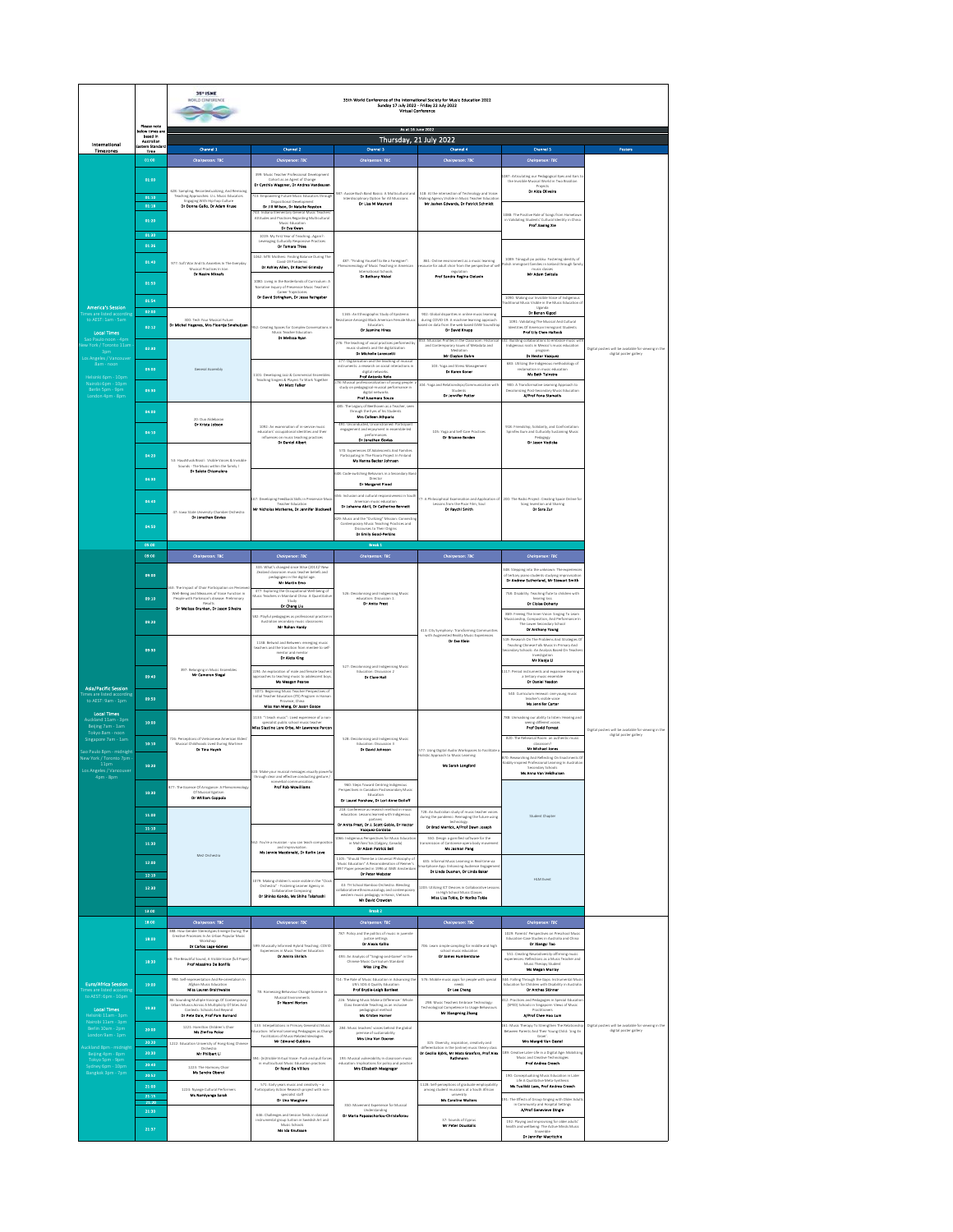|                                                            | Please note                                       | 35° ISME<br>NORLD CONFERENCE<br>35th World Conference of the International Society for Music Education 2022<br>Sunday 17 July 2022 - Friday 22 July 2022 |                                                                                                                        |                                                                                                                                                                                       |                                                                                                                                   |                                                                                                                                                            |                                                      |  |
|------------------------------------------------------------|---------------------------------------------------|----------------------------------------------------------------------------------------------------------------------------------------------------------|------------------------------------------------------------------------------------------------------------------------|---------------------------------------------------------------------------------------------------------------------------------------------------------------------------------------|-----------------------------------------------------------------------------------------------------------------------------------|------------------------------------------------------------------------------------------------------------------------------------------------------------|------------------------------------------------------|--|
|                                                            | ow times or<br>now omes<br>besed in<br>Australian | As at 16 June 2022<br>Thursday, 21 July 2022                                                                                                             |                                                                                                                        |                                                                                                                                                                                       |                                                                                                                                   |                                                                                                                                                            |                                                      |  |
| International<br>Timezones                                 | tern Standar<br>Time                              | Channel 1                                                                                                                                                | Channel 2                                                                                                              | Channel 3                                                                                                                                                                             | Channel 4                                                                                                                         | Channel 5                                                                                                                                                  | Posters                                              |  |
|                                                            | 01:00                                             | Chairperson: TBC                                                                                                                                         | Chairperson: TBC                                                                                                       | Chairperson: TBC                                                                                                                                                                      | Chairperson: TBC                                                                                                                  | Chairperson: TBC                                                                                                                                           |                                                      |  |
|                                                            | 01:00                                             |                                                                                                                                                          | 399: Music Teacher Professional Development<br>Cohort as an Agent of Change<br>Dr Cynthia Wasoner, Dr Andrea Vendeuser |                                                                                                                                                                                       |                                                                                                                                   | 187: Articulating our Pedagogical Eyes and Ears'                                                                                                           |                                                      |  |
|                                                            | 01:10                                             | 628: Sampling, Recontextualizing, And Remixing<br>Teaching Approaches: U.s. Music Educators                                                              | 213: Emmawring Eutune Music Educators the                                                                              | 987: Aussie Bush Band Basics: A Multicultural and<br>Interdisciplinary Option for All Musicians                                                                                       | 518: At the intersection of Technology and Voice                                                                                  | Projects<br>Dr Alda Oliveira                                                                                                                               |                                                      |  |
|                                                            | 01:18                                             | Engaging With Hip-hop Culture<br>Or Donna Gallo, Dr Adam Kruse                                                                                           | Dr Jill Wilson, Dr Natalie Royston                                                                                     | <b>Dr Lisa M Marmard</b>                                                                                                                                                              | aking Agency Visible in Music Teacher Educati<br><b>Mr Jashen Edwards, Dr Patrick Schmidt</b>                                     |                                                                                                                                                            |                                                      |  |
|                                                            | 01:20                                             |                                                                                                                                                          | 3: Indiana Elementary General Music Teacher<br>ttitudes and Practices Regarding Multicultural                          |                                                                                                                                                                                       |                                                                                                                                   | 1088: The Positive Role of Sones from Hometow<br>in Validating Students' Cultural Identity in China<br><b>Prof Hexing Kie</b>                              |                                                      |  |
|                                                            | 01:30                                             |                                                                                                                                                          | <b>Dr Eve Kwen</b><br>1019: My First Year of Teaching, Again?:                                                         |                                                                                                                                                                                       |                                                                                                                                   |                                                                                                                                                            |                                                      |  |
|                                                            | 01:36                                             |                                                                                                                                                          | Leveraging Culturally Responsive                                                                                       |                                                                                                                                                                                       |                                                                                                                                   |                                                                                                                                                            |                                                      |  |
|                                                            | 01:40                                             | 977: Soft War And Its Ansieties In The Everyday                                                                                                          | 1062: MTE Mothers: Finding Balance During The<br>Or Ashley Allen, Dr Rachel Grimsby                                    | 487: "Finding Yourself to be a Foreigner".<br>ology of Music Teaching in American                                                                                                     | 861: Online environment as a music learning<br>surce for adult choir from the perspective of se                                   | 1089: Tónagull po polsku: Fostering identity of<br>lish immigrant families in Iceland through famil                                                        |                                                      |  |
|                                                            |                                                   | Dr Nedm Nibsets                                                                                                                                          |                                                                                                                        | <b>Dr Setheny Mickel</b>                                                                                                                                                              | Prof Sendre Regine Cielevin                                                                                                       | Mr Adam Switzle                                                                                                                                            |                                                      |  |
|                                                            | 01:50                                             |                                                                                                                                                          | 1080: Living in the Borderlands of Curriculum: A<br>quiry of Preservice Music Teachers<br>Career Traiectories          |                                                                                                                                                                                       |                                                                                                                                   |                                                                                                                                                            |                                                      |  |
| <b>America's Session</b>                                   | 01:54                                             |                                                                                                                                                          | Dr David Stringham, Dr Jesse Rathgeber                                                                                 |                                                                                                                                                                                       |                                                                                                                                   | 1090: Making our Invisible Voice of Indigenous<br>raditional Music Visible in the Music Education<br>Uganda                                                |                                                      |  |
| to AEST: 1am - San                                         | 02:00                                             | 300: Tech Your Musical Futur                                                                                                                             |                                                                                                                        | 1165: An Ethnographic Study of Epistemic<br>ce Amonest Black American Female Mus                                                                                                      | 902: Global disparities in online music learning<br>during COVID-19: A machine-learning approx                                    | Dr Senon Klapd<br>1091: Validating The Musical And Cultural                                                                                                |                                                      |  |
| <b>Local Times</b>                                         | 02:12                                             | Dr Michel Hogenes, Mrs Floortje Smekeljzer                                                                                                               | 952: Creating Spaces for Complex Convers<br>usic Teacher Educati<br><b>Dr Mellusa Ryan</b>                             | <b>Dr Jesmine Hines</b>                                                                                                                                                               | web-based DAW Soundtr<br>sed on data from th<br><b>Or David Knapp</b>                                                             | Prof Lily Chen-Hefteck                                                                                                                                     |                                                      |  |
| w York / Toronto 11am                                      | 02:30                                             |                                                                                                                                                          |                                                                                                                        | 76: The teaching of yocal practices performed by<br>music students and the digitalization<br><b>Dr Michelle Lorenzetti</b>                                                            | <b>IS3: Musician Profiles in the Classro</b><br>and Contemporary Issues of Metadata and<br>Median                                 | 32: Building collaborations to embrace music wi<br>s roots in Mexico's music education                                                                     | Digital posters will be available for viewing in the |  |
| los Angeles / Vancou<br>8am - noon                         |                                                   |                                                                                                                                                          |                                                                                                                        | 277: Digitalization and the teaching of musical                                                                                                                                       | Mr Clayton Dahm                                                                                                                   | Dr Hector Vasquez                                                                                                                                          | digital poster gallery                               |  |
| Helsinki 6pm - 10pm                                        | 03:00                                             | General Assembly                                                                                                                                         | 1101: Developing Jazz & Commercial Ensemble                                                                            | nstruments: a research on social interactions in<br><b>Gainal</b> run<br>Prof Antonio Neto                                                                                            | 103: Yoga and Stress Management<br><b>Dr Karen Koner</b>                                                                          | 683: Utilizing the Indigenous methodology of<br>reclamation in music education<br><b>Mit Bath Tulisate</b>                                                 |                                                      |  |
| Nairobi 6pm - 10pr<br>Berlin Spm - 9pm<br>London 4pm - 8pm | 03:30                                             |                                                                                                                                                          | Teaching Singers & Players To Work Together<br>Mr Matt Folker                                                          | <sup>78</sup> : Musical professionalization of young people: a<br>study on pedagogical-musical performance in                                                                         | 104: Yoga and Relationships/Communication wit<br>in.                                                                              | 900: A Transformative Learning Approach to<br>ng Post-Secondary Music Education<br>A/Prof Yone Stametic                                                    |                                                      |  |
|                                                            |                                                   |                                                                                                                                                          |                                                                                                                        | Prof Jusamara Souza<br>485: The Legacy of Beethoven as a Teacher, see                                                                                                                 | Dr Jennifer Potter                                                                                                                |                                                                                                                                                            |                                                      |  |
|                                                            | 04:00                                             | .<br>D: Duo Aldebarar                                                                                                                                    |                                                                                                                        | gacy of Beethoven as a re<br>ough the Eyes of his Stude<br><b>Mrs Colleen Athparia</b>                                                                                                |                                                                                                                                   |                                                                                                                                                            |                                                      |  |
|                                                            | 04:10                                             | Dr Krista Jobson                                                                                                                                         | 1092: An examination of in-service m<br>educators' occupational identities and their                                   | 491-Honordurbad Honorstrainad Particinan<br>agement and enjoyment in er<br><b>Malashi</b>                                                                                             | 105: Yosa and Self-Care Practices                                                                                                 | 918: Friendship, Solidarity, and Confrontation<br>pinifex Gum and Culturally Sustaining Music<br>Dr Jason Vodicia                                          |                                                      |  |
|                                                            |                                                   |                                                                                                                                                          | influences on music basching practices                                                                                 | Dr Jonathan Govias                                                                                                                                                                    | Dr Brianne Borden                                                                                                                 |                                                                                                                                                            |                                                      |  |
|                                                            | 04:20                                             | 53: HausMusik Brasil: Visible Voices & Invisible                                                                                                         |                                                                                                                        | 570: Experiences Of Adolescents And Families<br>ng in The Floora Doniert in Finland<br>Ms Henne Becker Johnsen                                                                        |                                                                                                                                   |                                                                                                                                                            |                                                      |  |
|                                                            |                                                   | s - The Music within the family !<br><b>Dr Salete Chiamulara</b>                                                                                         |                                                                                                                        | 48: Code-switching Behaviors in a Secondary Ba                                                                                                                                        |                                                                                                                                   |                                                                                                                                                            |                                                      |  |
|                                                            | 04:30                                             |                                                                                                                                                          |                                                                                                                        | Direct<br>Dr Mergaret Flood                                                                                                                                                           |                                                                                                                                   |                                                                                                                                                            |                                                      |  |
|                                                            | 04:40                                             |                                                                                                                                                          | 67: Developing Feedback Skills in Preservice Mun<br>scher Educat                                                       | 56: Inclusion and cultural respon<br>eness in Sou<br>American music education<br>Dr Johanna Abril, Dr Catherine Sennett                                                               | 7: A Philosophical Examination and Application<br>Lessons from the Dixar Film, Soul-                                              | 200: The Radio Project: Creating Space Online for<br>tion and Sharing                                                                                      |                                                      |  |
|                                                            |                                                   | 47: Irea State University Chamber Orchastra<br>Dr Jonathan Govias                                                                                        | Mr Micholas Matherne, Dr Jennifer Blackwell                                                                            | Dr Reacht Smith                                                                                                                                                                       |                                                                                                                                   | Song Invention and<br>Dr Sere Zur                                                                                                                          |                                                      |  |
|                                                            | 04:50                                             |                                                                                                                                                          |                                                                                                                        | th: Music and the "Civilizing" Mission: Connect<br>Contemporary Music Teaching Practices and<br>Discourses to Their Origins<br>Dr Emily Good-Perkins                                  |                                                                                                                                   |                                                                                                                                                            |                                                      |  |
|                                                            | 05:00                                             |                                                                                                                                                          |                                                                                                                        | Break 1                                                                                                                                                                               |                                                                                                                                   |                                                                                                                                                            |                                                      |  |
|                                                            | 09:00                                             | Chairperson: TBC                                                                                                                                         | Chairperson: TBC                                                                                                       | Chatrperson: TBC                                                                                                                                                                      | Chatrperson: TBC                                                                                                                  | Chairperson: TBC                                                                                                                                           |                                                      |  |
|                                                            | 09:00                                             |                                                                                                                                                          | 333: What's changed since Wise (2013)? New                                                                             |                                                                                                                                                                                       |                                                                                                                                   | .<br>[48: Stepping into the unknown: The experience                                                                                                        |                                                      |  |
|                                                            |                                                   | 63: The Impact of Choir Participation on Per                                                                                                             | pedagogies in the digna<br>Mr Martin Emo<br>digital age.<br>ne the Occupational W                                      | 526: Decolonising and Indigenising Music<br>Dr Anite Prest                                                                                                                            |                                                                                                                                   | Dr Andrew Sutherland, Mr Stewert Smith                                                                                                                     |                                                      |  |
|                                                            | 09:10                                             | Well-Being and Measures of Voice Function in<br>People with Parkinson's disease: Preliminary                                                             | usic Teachers in Mainland China: A Quant                                                                               |                                                                                                                                                                                       |                                                                                                                                   | 758: Disability: Teaching flute to children with<br>Dr Eloise Doherty                                                                                      |                                                      |  |
|                                                            |                                                   | Dr Melissa Brunkan, Dr Jason Silveira                                                                                                                    | Dr Chang Lie<br><b>SB2: Playful pedagogies as professional practice is</b><br>Australian secondary music classrooms    |                                                                                                                                                                                       |                                                                                                                                   | 869: Freeing The Inner Voice: Singing To Learn                                                                                                             |                                                      |  |
|                                                            | 09:20                                             |                                                                                                                                                          | <b>Mr Rohan Herdy</b>                                                                                                  |                                                                                                                                                                                       | 413: City Symphony: Transforming Com<br>with Augmented Reality Music Exper                                                        | ,<br>, Composition, And Per<br>The<br><b>Cover Secondary School</b><br><b>Dr Anthony Young</b>                                                             |                                                      |  |
|                                                            |                                                   |                                                                                                                                                          | 1138: Betwist and Between: emerging music                                                                              |                                                                                                                                                                                       | Dr Eve Klein                                                                                                                      | 19: Research On The Problems And Strategies Of                                                                                                             |                                                      |  |
|                                                            | 09:30                                             |                                                                                                                                                          | ers and the transition from<br>re to sel<br>Dr Alets King                                                              |                                                                                                                                                                                       |                                                                                                                                   | Teaching Chinese Folk Music in Primary And<br>Condary Schools: An Analysis Based On Teache<br>Condary Schools: An Analysis Based On Teache<br>Mr Xieche Li |                                                      |  |
|                                                            |                                                   | 397: Belonging in Music Ensembles                                                                                                                        | 1194: An exploration of male and female teachers                                                                       | 527: Decolonising and Indigenising Music<br>Educat<br>on 2                                                                                                                            |                                                                                                                                   | 1117: Period instruments and expansive learning                                                                                                            |                                                      |  |
| <b>Asia/Pacific Session</b>                                | 09:40                                             | Mr Cameron Steps!                                                                                                                                        | pproaches to teaching music to adolescent boy.<br>Ma Meason Peace                                                      | Dr Clare Hall                                                                                                                                                                         |                                                                                                                                   | a tertiary music ensemble<br>Dr Daniel Yeadon                                                                                                              |                                                      |  |
| tes are listed accord<br>to AEST: 9am - 1pm                | 09:50                                             |                                                                                                                                                          | 1071: Beginning Music Teacher Perspectives of<br>nitial Teacher Education (ITE) Program in Haini                       |                                                                                                                                                                                       |                                                                                                                                   | 540: Curriculum renewal: one young music<br>Ms Jennifer Certer                                                                                             |                                                      |  |
| <b>Local Times</b>                                         |                                                   |                                                                                                                                                          | Miss Han Meng, Dr Jason Goopy<br>1133-"I tauch music"-Lisad annotamea of a new                                         |                                                                                                                                                                                       |                                                                                                                                   | .<br>288: Unmasking our ability to listen: Hearing and                                                                                                     |                                                      |  |
| Auckland 11am - 3pm<br>Beijing 7am - 1am                   | 10:00                                             |                                                                                                                                                          | specialist public school music teacher<br>Miss Slastine Lore Orbe, Mr Lewrence Percen                                  |                                                                                                                                                                                       |                                                                                                                                   | Prof David Forrest                                                                                                                                         | Dieltal posters will be available for viewing in the |  |
| Tokyo Sam - noon<br>Singapore 7am - 1am                    | 10:10                                             | 726: Perceptions of Vietnamese American Elders<br>Musical Childhoods Lived Durine Wartime                                                                |                                                                                                                        | 528: Decolonising and Indigenising Music<br>Education: Discussion 3                                                                                                                   |                                                                                                                                   | 820: The Rebearcal Room: an authentic musi-                                                                                                                | digital poster gallery                               |  |
| ao Paulo 8pm - midnicht<br>New York / Toronto 7pm          |                                                   | <b>Dr Tine Hornh</b>                                                                                                                                     |                                                                                                                        | Dr David Johnson                                                                                                                                                                      | 77: Using Digital Audio Workspaces to Facilitate                                                                                  | his Michael Jones<br>70: Researching And Reflecting On Enactments C                                                                                        |                                                      |  |
| 11 <sub>pm</sub><br>Los Angeles / Vancouver                | 10:20                                             |                                                                                                                                                          | 20: Make your musical messages visually power                                                                          |                                                                                                                                                                                       | <b>Ms Sarah Longford</b>                                                                                                          | odály-inspired Professional Learning In Australia<br>Secondary Schools<br>Ms Anna Van Veldhuiser                                                           |                                                      |  |
| 4pm - 8pm                                                  |                                                   |                                                                                                                                                          | through clear and effective conducting gesture /<br><b>Prof Rob Montillanes</b>                                        |                                                                                                                                                                                       |                                                                                                                                   |                                                                                                                                                            |                                                      |  |
|                                                            | 10:30                                             | 177: The Essence Of Arrogance: A Phenomenology<br>Dr William Coppola                                                                                     |                                                                                                                        | 960: Steps Toward Centring Indigenous<br>Perspectives in Canadian Postsecondary Music<br>Education<br>Dr Laurel Forsbaw, Dr Lori-Anne Dolloff                                         |                                                                                                                                   |                                                                                                                                                            |                                                      |  |
|                                                            | 11:00                                             |                                                                                                                                                          |                                                                                                                        | 218: Conference as research method in music<br>education: Lessons learned with Indigenous                                                                                             | 728: An Australian study of music teacher voices                                                                                  |                                                                                                                                                            |                                                      |  |
|                                                            | 33:30                                             |                                                                                                                                                          |                                                                                                                        | Dr Anite Prest, Dr J. Scott Goble, Dr Hector                                                                                                                                          | during the pandemic: Reimaging the future using<br>Dr Brad Merrick, A/Prof Dewn Joseph                                            | Student Chapter                                                                                                                                            |                                                      |  |
|                                                            | 11:30                                             |                                                                                                                                                          | 62: You're a musician - you can teach compositie                                                                       | Vanquez-Cordoba<br>066: Indigenous Perspectives for Music Educati                                                                                                                     | 550: Design a gamified software for the                                                                                           |                                                                                                                                                            |                                                      |  |
|                                                            |                                                   | Me2 Orchestra                                                                                                                                            | nd in<br>Ms Jannie Macdonald, Dr Karlin Love                                                                           | Dr Adam Patrick Bell                                                                                                                                                                  | Ms Jasman Pang                                                                                                                    |                                                                                                                                                            |                                                      |  |
|                                                            | 12:00                                             |                                                                                                                                                          |                                                                                                                        | .<br>1805: "Should There be a Universal Philosophy of<br>Music Education" A Reconsideration of Reimer's<br>esented in 1996 at ISME Amsterda<br><b>Dr Peter Webster</b><br>997 Paper p | 635: Informal Music Learning in Real-Fire via<br>Dr Linda Dusman, Dr Linda Baker                                                  |                                                                                                                                                            |                                                      |  |
|                                                            | 12:10                                             |                                                                                                                                                          | 2079: Making children's voice visible in the "Clock"<br>Crichestra" - Fostering Learner Agency in                      | 43-TH School Bamboo Orchestra: Rending                                                                                                                                                | 1203: Utilizine ICT Devices in Collaborative Les                                                                                  | <b>HUM Event</b>                                                                                                                                           |                                                      |  |
|                                                            | 12:30                                             |                                                                                                                                                          | Collaborative Composing<br>Dr Shinko Kondo, Ms Shiho Talahushi                                                         | tive ethn<br><br>nusicology and contemporar<br>western m<br>tusc pedagogy in Hanoi, Vietnam.<br><b>Mr David Crowden</b>                                                               | Miss Lisa Tokie, Dr Mortico Tokie                                                                                                 |                                                                                                                                                            |                                                      |  |
|                                                            | 13:00                                             |                                                                                                                                                          |                                                                                                                        | Breek 2                                                                                                                                                                               |                                                                                                                                   |                                                                                                                                                            |                                                      |  |
|                                                            | 18:00                                             | Chairperson: 78C                                                                                                                                         | Chairperson: 78C                                                                                                       | Chairperson: TBC                                                                                                                                                                      | Chairperson: 78C                                                                                                                  | Chairperson: TBC                                                                                                                                           |                                                      |  |
|                                                            | 18:00                                             | 388: How Gender Stereotypes Emerge During Th<br>Creative Processes In An Urban Popular Music                                                             |                                                                                                                        | 787: Policy and the politics of music in juvenile<br>Dr Alesis Kallio                                                                                                                 |                                                                                                                                   | 1029: Parents' Perspectives on Preschool Music<br>se Studies in Australia and China<br>Dr Xiangyl Tao                                                      |                                                      |  |
|                                                            |                                                   | Dr Carlos Lago-Gómez                                                                                                                                     | 599: Musically Informed Hybrid Teaching: COVID<br>Experie<br>as in Music Teacher Educati<br><b>Dr Amira Ehrlich</b>    | 493: An Analysis of "Singing-and-Game" in the                                                                                                                                         | 706: Learn simple sampling for middle and high<br>school music education<br>Dr James Humberstone                                  | 551: Creating Neurodiversity-affirming music                                                                                                               |                                                      |  |
|                                                            | 18:30                                             | 6: The Beautiful Source & Visible Voice (full Pares<br>Prof Massimo De Bonfils                                                                           |                                                                                                                        | Chinese Music C<br>m Standard<br>Miss Ling Zhu                                                                                                                                        |                                                                                                                                   | nces: Reflections as a Music Teacher and<br>Music Therapy Student<br>Ms Megan Murray                                                                       |                                                      |  |
| <b>Euro/Africa Session</b>                                 | 19:00                                             | 994: Self-representation And Re-orientalism In<br><b>Mghan Music Educatio</b>                                                                            |                                                                                                                        | 714: The Role of Music Education in Advancing the<br>UN's SDG 4 Quality Educati                                                                                                       | 576: Mobile music apps for people with special                                                                                    | 344: Falling Through the Gaps: Instrumental Music<br>Education for Children with Disability in Australia                                                   |                                                      |  |
| to AEST: 6pm - 10p                                         |                                                   | Miss Lauren Braithwaita                                                                                                                                  | 78: Harnessing Behaviour Change Science in                                                                             | <b>Prof Brydle-Leich Bartleet</b>                                                                                                                                                     | <b>Dr Los Chang</b>                                                                                                               | <b>Dr Anthon Skinner</b>                                                                                                                                   |                                                      |  |
| <b>Local Times</b>                                         | 19:30                                             | <b>86: Sounding Multiple Voicings Of Con</b><br>Urban Musics Across A Multiplicity Of Sites And<br>Contexts: Schools And Beyond                          | <b>Dr Naomi Norton</b>                                                                                                 | 226: "Making Music Make a Difference:" Whole<br>Class Ensemble Teaching as an inclusive<br>pedagogical method                                                                         | 208: Music Teachers Embrace Technology:<br>Technological Competence to Usage Behavi<br>Mr Xiengming Zhang                         | 12: Practices and Pedagogies in Special Educatio<br>(SPED) Schools in Singapore: Views of Music<br>Practitioner                                            |                                                      |  |
| Nairobi 11am - 3pm                                         |                                                   | Dr Pete Dale, Prof Pam Burnard<br>1221: Hamilton Children's Choir                                                                                        | 133: Interpellations in Primary Generalist Music                                                                       | <b>Ma Kristen Horner</b>                                                                                                                                                              |                                                                                                                                   | A/Prof Chee Hoo Lum<br>61: Music Therapy To Strengthen The Relationship                                                                                    | Digital posters will be available for viewing in the |  |
| Berlin 10am - 2pm<br>London 9am - 1pm                      | 20:00                                             | Ms Zimfire Poles                                                                                                                                         | ducation: Informal Learning Pedagogies as Chang<br>Facilitators of Music-<br>ed Ideologies<br><b>Mr Edmond Gubbins</b> | 284: Music teachers' voices behind the global<br>tise of sustainability<br>Mrs Une Yon Dooren                                                                                         |                                                                                                                                   | Between Parents And Their Young Child: 'zing En                                                                                                            | digital poster gallery                               |  |
| uckland 8pm - midnie                                       | 20:20<br>20:30                                    | 1222: Education University of Hong Kong Chinese<br>Mr Philbert Li                                                                                        |                                                                                                                        |                                                                                                                                                                                       | 325: Diversity, inspiration, creativity and<br>diation in the (online) music the<br>Dr Cecilia Björk, Mr Mats Granfors, Prof Ales | Mrs Margré Van Gestel<br>89: Creative Later-Life in a Digital Age: Mobilizin                                                                               |                                                      |  |
| Beijing 4pm - 8pm<br>Tokyo 5pm - 9pm                       | 20:40                                             | 1223: The Harmony Choir                                                                                                                                  | 04: (h)Visible Virtual Voice: Push and pull forces<br>in multicu<br>Dr Ronel De Villiers                               | 193: Musical vulnerability in classroom n<br>en for policy and practice<br>Mrs Elizabeth Macgregor                                                                                    |                                                                                                                                   | <b>Prof Andrea Creech</b>                                                                                                                                  |                                                      |  |
| Sydney 6pm - 10pm<br>Bangkok 3pm - 7pm                     | 20:52                                             | Ms Sandra Oberol                                                                                                                                         |                                                                                                                        |                                                                                                                                                                                       |                                                                                                                                   | 190: Conceptualizine Music Education in Later<br><b>Country</b>                                                                                            |                                                      |  |
|                                                            | 21:00<br>23:15                                    | 1224: Nyange Cultural Performers<br>Ms Namhonga Sarah                                                                                                    | 571: Early years music and creativity-a<br>Participatory Action Research project with nor<br>ialist staf               |                                                                                                                                                                                       | 1128: Self-perceptions of graduate employability<br>nit student musicians at a South African                                      | Ms Tuulikki Lees, Prof Andree Creech                                                                                                                       |                                                      |  |
|                                                            | 21:21<br>21:30                                    |                                                                                                                                                          | Dr Une Manglone                                                                                                        | 350: Movement Experience for Musical<br>Understanding                                                                                                                                 | Ms Caroline Walters                                                                                                               | 91: The Effects of Group Singing with Older Adult<br>ommunity and Hospital Setti<br><b>A/Prof Genevieve Dingle</b><br>lings                                |                                                      |  |
|                                                            |                                                   |                                                                                                                                                          | 646: Challenges and tension fields in classical<br>mental group tuition in Swedish Art and<br>air Seb                  | Dr Maria Papazachariou-Christoforou                                                                                                                                                   | 37: Sounds of Cyprus<br>Mr Peter Douskalls                                                                                        | $192$ : $\mathsf{Playing}$ and improvising for older adults' health and wellbeing: The Active Minds Music                                                  |                                                      |  |
|                                                            | 21:37                                             |                                                                                                                                                          | <b>Me Ide Knutsson</b>                                                                                                 |                                                                                                                                                                                       |                                                                                                                                   | Ensemble<br>Dr Janeifer Macritchie                                                                                                                         |                                                      |  |
|                                                            |                                                   |                                                                                                                                                          |                                                                                                                        |                                                                                                                                                                                       |                                                                                                                                   |                                                                                                                                                            |                                                      |  |